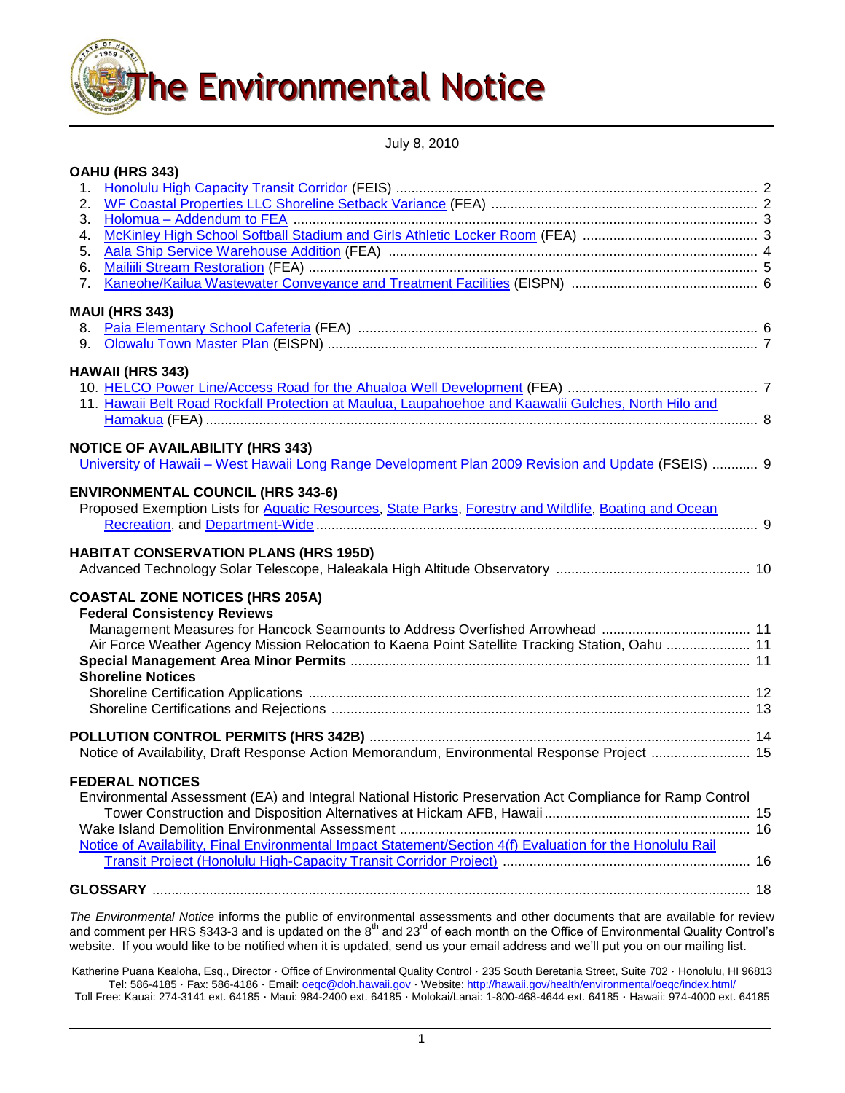

July 8, 2010

| OAHU (HRS 343)                                                                                                             |  |
|----------------------------------------------------------------------------------------------------------------------------|--|
|                                                                                                                            |  |
| 2.                                                                                                                         |  |
| 3.                                                                                                                         |  |
| 4.                                                                                                                         |  |
| 5.                                                                                                                         |  |
| 6.                                                                                                                         |  |
| 7.                                                                                                                         |  |
| <b>MAUI (HRS 343)</b>                                                                                                      |  |
|                                                                                                                            |  |
| 9.                                                                                                                         |  |
|                                                                                                                            |  |
| <b>HAWAII (HRS 343)</b>                                                                                                    |  |
| 11. Hawaii Belt Road Rockfall Protection at Maulua, Laupahoehoe and Kaawalii Gulches, North Hilo and                       |  |
|                                                                                                                            |  |
|                                                                                                                            |  |
| <b>NOTICE OF AVAILABILITY (HRS 343)</b>                                                                                    |  |
| <u>University of Hawaii – West Hawaii Long Range Development Plan 2009 Revision and Update</u> (FSEIS)  9                  |  |
| <b>ENVIRONMENTAL COUNCIL (HRS 343-6)</b>                                                                                   |  |
| Proposed Exemption Lists for Aquatic Resources, State Parks, Forestry and Wildlife, Boating and Ocean                      |  |
|                                                                                                                            |  |
| <b>HABITAT CONSERVATION PLANS (HRS 195D)</b>                                                                               |  |
| <b>COASTAL ZONE NOTICES (HRS 205A)</b>                                                                                     |  |
| <b>Federal Consistency Reviews</b>                                                                                         |  |
|                                                                                                                            |  |
| Air Force Weather Agency Mission Relocation to Kaena Point Satellite Tracking Station, Oahu  11                            |  |
|                                                                                                                            |  |
| <b>Shoreline Notices</b>                                                                                                   |  |
|                                                                                                                            |  |
|                                                                                                                            |  |
|                                                                                                                            |  |
| Notice of Availability, Draft Response Action Memorandum, Environmental Response Project  15                               |  |
| <b>FEDERAL NOTICES</b>                                                                                                     |  |
| Environmental Assessment (EA) and Integral National Historic Preservation Act Compliance for Ramp Control                  |  |
|                                                                                                                            |  |
|                                                                                                                            |  |
| Notice of Availability, Final Environmental Impact Statement/Section 4(f) Evaluation for the Honolulu Rail                 |  |
|                                                                                                                            |  |
|                                                                                                                            |  |
|                                                                                                                            |  |
| The Environmental Notice informs the public of environmental assessments and other documents that are available for review |  |

and comment per HRS §343-3 and is updated on the  $8<sup>m</sup>$  and  $23<sup>m</sup>$  of each month on the Office of Environmental Quality Control's website. If you would like to be notified when it is updated, send us your email address and we"ll put you on our mailing list.

Katherine Puana Kealoha, Esq., Director · Office of Environmental Quality Control · 235 South Beretania Street, Suite 702 · Honolulu, HI 96813 Tel: 586-4185 · Fax: 586-4186 · Email: [oeqc@doh.hawaii.gov](mailto:oeqc@doh.hawaii.gov) · Website[: http://hawaii.gov/health/environmental/oeqc/index.html/](http://hawaii.gov/health/environmental/oeqc/index.html/) Toll Free: Kauai: 274-3141 ext. 64185 · Maui: 984-2400 ext. 64185 · Molokai/Lanai: 1-800-468-4644 ext. 64185 · Hawaii: 974-4000 ext. 64185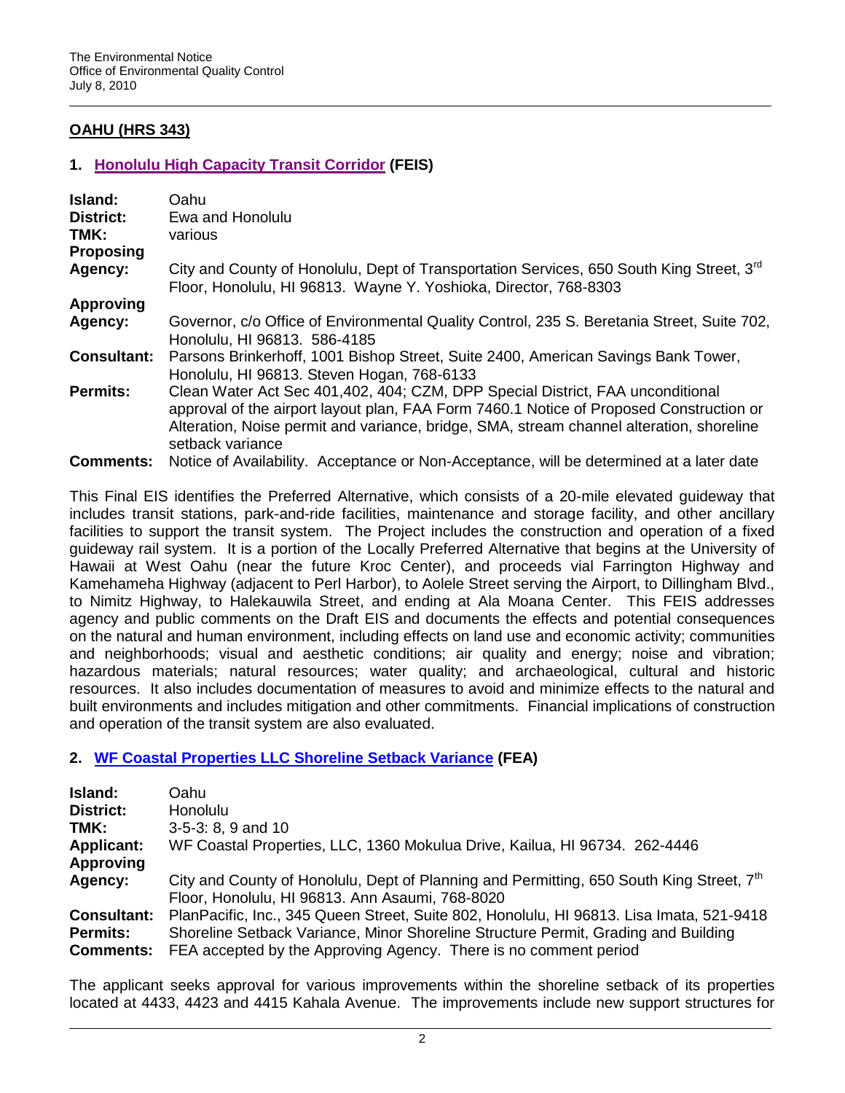# **OAHU (HRS 343)**

## **1. [Honolulu High Capacity Transit Corridor](http://oeqc.doh.hawaii.gov/Shared%20Documents/Forms/AllItems.aspx?RootFolder=%2fShared%20Documents%2fEA_and_EIS_Online_Library%2fOahu%2f2010s%2f2010-07-08-OA-FEIS-HONOLULU-HIGH-CAPACITY-TRANSIT-CORRIDOR&View=%7bC0C5C897-3066-4821-864E-36FB3D77F5D5%7d) (FEIS)**

| Island:<br><b>District:</b><br>TMK: | Oahu<br>Ewa and Honolulu<br>various                                                                                                                                                                                                                                                       |
|-------------------------------------|-------------------------------------------------------------------------------------------------------------------------------------------------------------------------------------------------------------------------------------------------------------------------------------------|
| <b>Proposing</b>                    |                                                                                                                                                                                                                                                                                           |
| Agency:                             | City and County of Honolulu, Dept of Transportation Services, 650 South King Street, 3 <sup>rd</sup><br>Floor, Honolulu, HI 96813. Wayne Y. Yoshioka, Director, 768-8303                                                                                                                  |
| <b>Approving</b>                    |                                                                                                                                                                                                                                                                                           |
| Agency:                             | Governor, c/o Office of Environmental Quality Control, 235 S. Beretania Street, Suite 702,<br>Honolulu, HI 96813. 586-4185                                                                                                                                                                |
| <b>Consultant:</b>                  | Parsons Brinkerhoff, 1001 Bishop Street, Suite 2400, American Savings Bank Tower,<br>Honolulu, HI 96813. Steven Hogan, 768-6133                                                                                                                                                           |
| <b>Permits:</b>                     | Clean Water Act Sec 401,402, 404; CZM, DPP Special District, FAA unconditional<br>approval of the airport layout plan, FAA Form 7460.1 Notice of Proposed Construction or<br>Alteration, Noise permit and variance, bridge, SMA, stream channel alteration, shoreline<br>setback variance |
| <b>Comments:</b>                    | Notice of Availability. Acceptance or Non-Acceptance, will be determined at a later date                                                                                                                                                                                                  |

This Final EIS identifies the Preferred Alternative, which consists of a 20-mile elevated guideway that includes transit stations, park-and-ride facilities, maintenance and storage facility, and other ancillary facilities to support the transit system. The Project includes the construction and operation of a fixed guideway rail system. It is a portion of the Locally Preferred Alternative that begins at the University of Hawaii at West Oahu (near the future Kroc Center), and proceeds vial Farrington Highway and Kamehameha Highway (adjacent to Perl Harbor), to Aolele Street serving the Airport, to Dillingham Blvd., to Nimitz Highway, to Halekauwila Street, and ending at Ala Moana Center. This FEIS addresses agency and public comments on the Draft EIS and documents the effects and potential consequences on the natural and human environment, including effects on land use and economic activity; communities and neighborhoods; visual and aesthetic conditions; air quality and energy; noise and vibration; hazardous materials; natural resources; water quality; and archaeological, cultural and historic resources. It also includes documentation of measures to avoid and minimize effects to the natural and built environments and includes mitigation and other commitments. Financial implications of construction and operation of the transit system are also evaluated.

## **2. [WF Coastal Properties LLC Shoreline Setback Variance](http://oeqc.doh.hawaii.gov/Shared%20Documents/EA_and_EIS_Online_Library/Oahu/2010s/2010-07-08-OA-FEA-WF-Coastal-Prop-Shoreline-Setback-Var-Kahala.pdf) (FEA)**

| Island:            | Oahu                                                                                                 |
|--------------------|------------------------------------------------------------------------------------------------------|
| <b>District:</b>   | Honolulu                                                                                             |
| TMK:               | $3-5-3: 8, 9$ and 10                                                                                 |
| <b>Applicant:</b>  | WF Coastal Properties, LLC, 1360 Mokulua Drive, Kailua, HI 96734. 262-4446                           |
| <b>Approving</b>   |                                                                                                      |
| Agency:            | City and County of Honolulu, Dept of Planning and Permitting, 650 South King Street, 7 <sup>th</sup> |
|                    | Floor, Honolulu, HI 96813. Ann Asaumi, 768-8020                                                      |
| <b>Consultant:</b> | PlanPacific, Inc., 345 Queen Street, Suite 802, Honolulu, HI 96813. Lisa Imata, 521-9418             |
| <b>Permits:</b>    | Shoreline Setback Variance, Minor Shoreline Structure Permit, Grading and Building                   |
| <b>Comments:</b>   | FEA accepted by the Approving Agency. There is no comment period                                     |

The applicant seeks approval for various improvements within the shoreline setback of its properties located at 4433, 4423 and 4415 Kahala Avenue. The improvements include new support structures for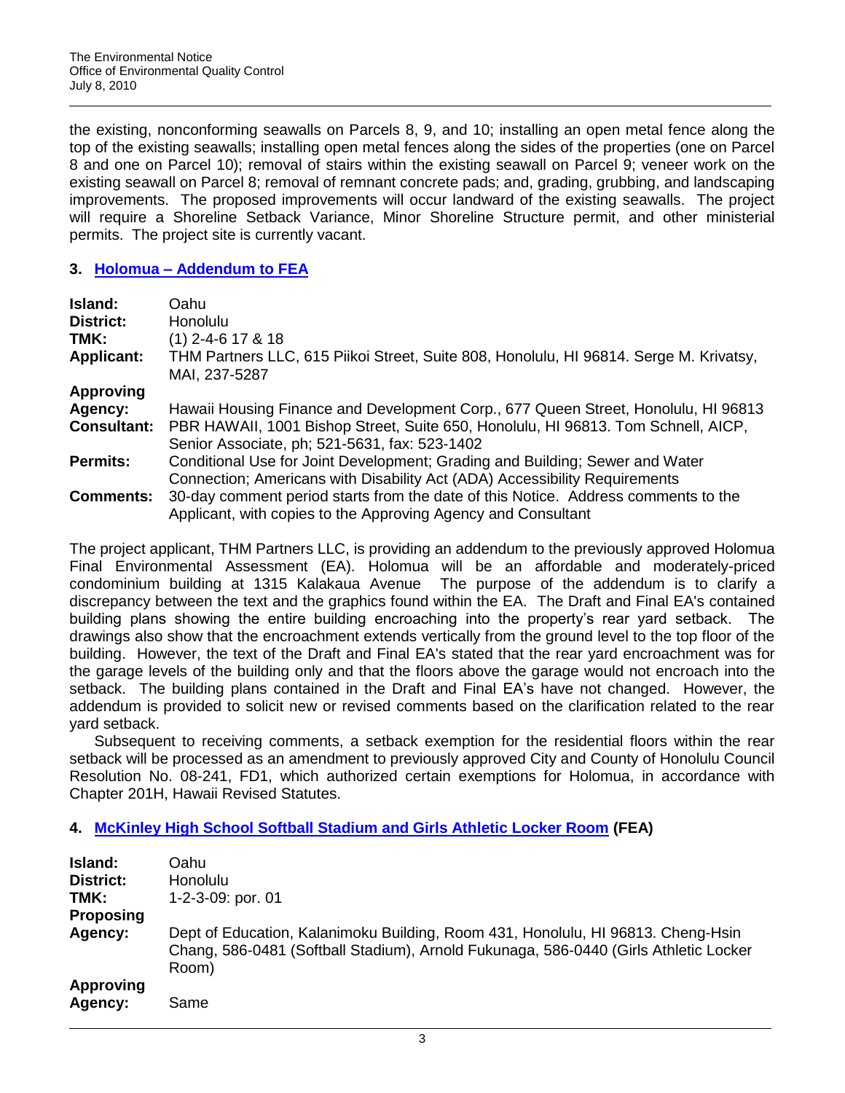the existing, nonconforming seawalls on Parcels 8, 9, and 10; installing an open metal fence along the top of the existing seawalls; installing open metal fences along the sides of the properties (one on Parcel 8 and one on Parcel 10); removal of stairs within the existing seawall on Parcel 9; veneer work on the existing seawall on Parcel 8; removal of remnant concrete pads; and, grading, grubbing, and landscaping improvements. The proposed improvements will occur landward of the existing seawalls. The project will require a Shoreline Setback Variance, Minor Shoreline Structure permit, and other ministerial permits. The project site is currently vacant.

### **3. Holomua – [Addendum to FEA](http://oeqc.doh.hawaii.gov/Shared%20Documents/EA_and_EIS_Online_Library/Oahu/2010s/2010-07-08-OA-FEA-Holomua-Addendum.pdf)**

| <b>Island:</b><br>District:<br>TMK:<br><b>Applicant:</b> | Oahu<br>Honolulu<br>$(1)$ 2-4-6 17 & 18<br>THM Partners LLC, 615 Piikoi Street, Suite 808, Honolulu, HI 96814. Serge M. Krivatsy,<br>MAI, 237-5287  |
|----------------------------------------------------------|-----------------------------------------------------------------------------------------------------------------------------------------------------|
| <b>Approving</b>                                         |                                                                                                                                                     |
| Agency:                                                  | Hawaii Housing Finance and Development Corp., 677 Queen Street, Honolulu, HI 96813                                                                  |
| <b>Consultant:</b>                                       | PBR HAWAII, 1001 Bishop Street, Suite 650, Honolulu, HI 96813. Tom Schnell, AICP,                                                                   |
|                                                          | Senior Associate, ph; 521-5631, fax: 523-1402                                                                                                       |
| <b>Permits:</b>                                          | Conditional Use for Joint Development; Grading and Building; Sewer and Water                                                                        |
|                                                          | Connection; Americans with Disability Act (ADA) Accessibility Requirements                                                                          |
| <b>Comments:</b>                                         | 30-day comment period starts from the date of this Notice. Address comments to the<br>Applicant, with copies to the Approving Agency and Consultant |

The project applicant, THM Partners LLC, is providing an addendum to the previously approved Holomua Final Environmental Assessment (EA). Holomua will be an affordable and moderately-priced condominium building at 1315 Kalakaua Avenue The purpose of the addendum is to clarify a discrepancy between the text and the graphics found within the EA. The Draft and Final EA's contained building plans showing the entire building encroaching into the property"s rear yard setback. The drawings also show that the encroachment extends vertically from the ground level to the top floor of the building. However, the text of the Draft and Final EA's stated that the rear yard encroachment was for the garage levels of the building only and that the floors above the garage would not encroach into the setback. The building plans contained in the Draft and Final EA's have not changed. However, the addendum is provided to solicit new or revised comments based on the clarification related to the rear yard setback.

Subsequent to receiving comments, a setback exemption for the residential floors within the rear setback will be processed as an amendment to previously approved City and County of Honolulu Council Resolution No. 08-241, FD1, which authorized certain exemptions for Holomua, in accordance with Chapter 201H, Hawaii Revised Statutes.

## **4. [McKinley High School Softball Stadium and Girls Athletic Locker Room](http://oeqc.doh.hawaii.gov/Shared%20Documents/EA_and_EIS_Online_Library/Oahu/2010s/2010-07-08-OA-FEA-McKinley-High-Softball-Stadium.pdf) (FEA)**

| Island:<br><b>District:</b><br>TMK: | Oahu<br><b>Honolulu</b><br>1-2-3-09: por. 01                                                                                                                                      |
|-------------------------------------|-----------------------------------------------------------------------------------------------------------------------------------------------------------------------------------|
| <b>Proposing</b>                    |                                                                                                                                                                                   |
| Agency:                             | Dept of Education, Kalanimoku Building, Room 431, Honolulu, HI 96813. Cheng-Hsin<br>Chang, 586-0481 (Softball Stadium), Arnold Fukunaga, 586-0440 (Girls Athletic Locker<br>Room) |
| <b>Approving</b><br>Agency:         | Same                                                                                                                                                                              |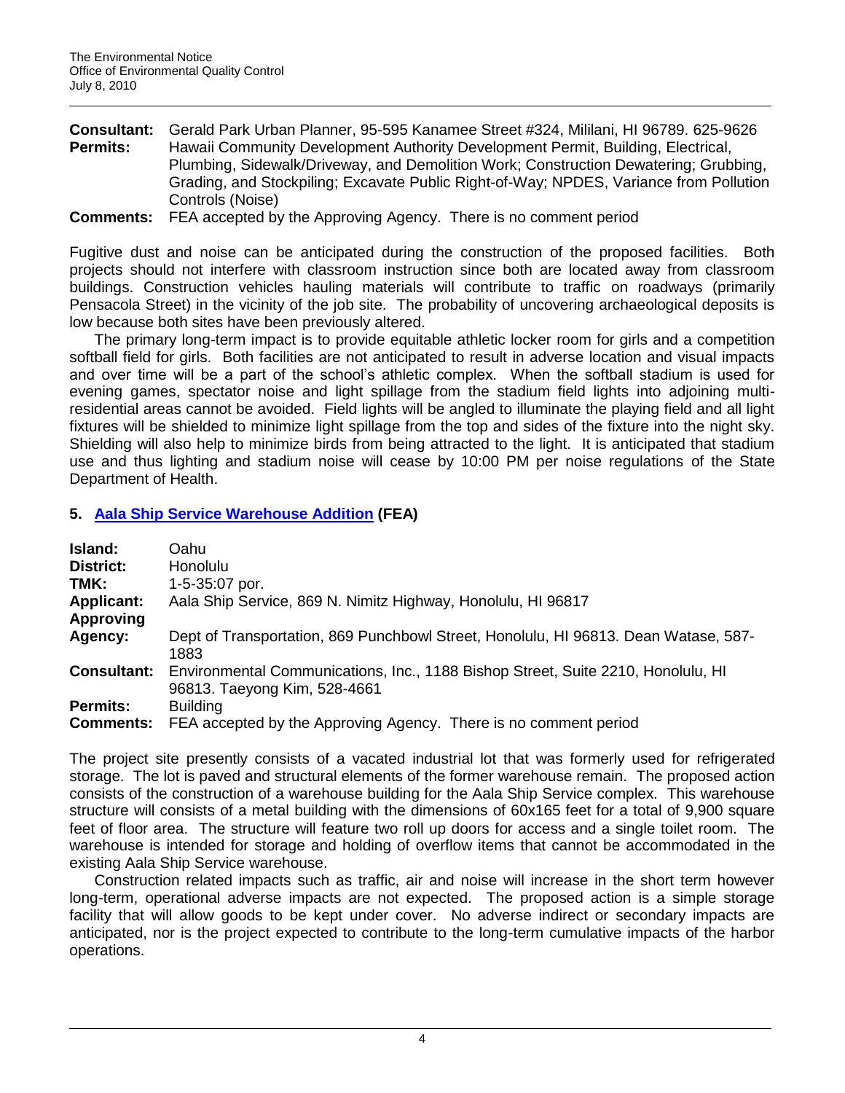| <b>Consultant:</b> | Gerald Park Urban Planner, 95-595 Kanamee Street #324, Mililani, HI 96789. 625-9626    |
|--------------------|----------------------------------------------------------------------------------------|
| <b>Permits:</b>    | Hawaii Community Development Authority Development Permit, Building, Electrical,       |
|                    | Plumbing, Sidewalk/Driveway, and Demolition Work; Construction Dewatering; Grubbing,   |
|                    | Grading, and Stockpiling; Excavate Public Right-of-Way; NPDES, Variance from Pollution |
|                    | Controls (Noise)                                                                       |
|                    |                                                                                        |

**Comments:** FEA accepted by the Approving Agency. There is no comment period

Fugitive dust and noise can be anticipated during the construction of the proposed facilities. Both projects should not interfere with classroom instruction since both are located away from classroom buildings. Construction vehicles hauling materials will contribute to traffic on roadways (primarily Pensacola Street) in the vicinity of the job site. The probability of uncovering archaeological deposits is low because both sites have been previously altered.

The primary long-term impact is to provide equitable athletic locker room for girls and a competition softball field for girls. Both facilities are not anticipated to result in adverse location and visual impacts and over time will be a part of the school"s athletic complex. When the softball stadium is used for evening games, spectator noise and light spillage from the stadium field lights into adjoining multiresidential areas cannot be avoided. Field lights will be angled to illuminate the playing field and all light fixtures will be shielded to minimize light spillage from the top and sides of the fixture into the night sky. Shielding will also help to minimize birds from being attracted to the light. It is anticipated that stadium use and thus lighting and stadium noise will cease by 10:00 PM per noise regulations of the State Department of Health.

## **5. [Aala Ship Service Warehouse Addition](http://oeqc.doh.hawaii.gov/Shared%20Documents/EA_and_EIS_Online_Library/Oahu/2010s/2010-07-08-OA-FEA-Aala-Ship-Service.pdf) (FEA)**

| Island:            | Oahu                                                                                                             |
|--------------------|------------------------------------------------------------------------------------------------------------------|
| <b>District:</b>   | Honolulu                                                                                                         |
| TMK:               | 1-5-35:07 por.                                                                                                   |
| <b>Applicant:</b>  | Aala Ship Service, 869 N. Nimitz Highway, Honolulu, HI 96817                                                     |
| <b>Approving</b>   |                                                                                                                  |
| Agency:            | Dept of Transportation, 869 Punchbowl Street, Honolulu, HI 96813. Dean Watase, 587-<br>1883                      |
| <b>Consultant:</b> | Environmental Communications, Inc., 1188 Bishop Street, Suite 2210, Honolulu, HI<br>96813. Taeyong Kim, 528-4661 |
| <b>Permits:</b>    | <b>Building</b>                                                                                                  |
| <b>Comments:</b>   | FEA accepted by the Approving Agency. There is no comment period                                                 |

The project site presently consists of a vacated industrial lot that was formerly used for refrigerated storage. The lot is paved and structural elements of the former warehouse remain. The proposed action consists of the construction of a warehouse building for the Aala Ship Service complex. This warehouse structure will consists of a metal building with the dimensions of 60x165 feet for a total of 9,900 square feet of floor area. The structure will feature two roll up doors for access and a single toilet room. The warehouse is intended for storage and holding of overflow items that cannot be accommodated in the existing Aala Ship Service warehouse.

Construction related impacts such as traffic, air and noise will increase in the short term however long-term, operational adverse impacts are not expected. The proposed action is a simple storage facility that will allow goods to be kept under cover. No adverse indirect or secondary impacts are anticipated, nor is the project expected to contribute to the long-term cumulative impacts of the harbor operations.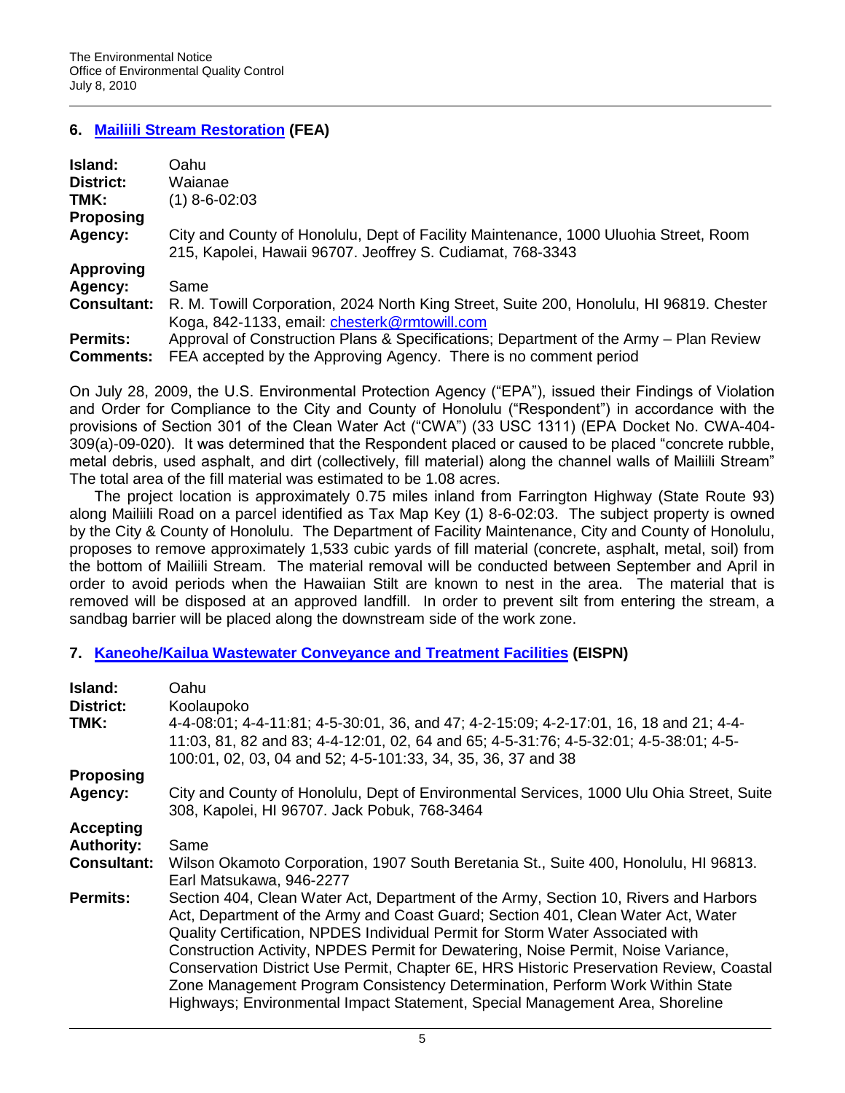## **6. [Mailiili Stream Restoration](http://oeqc.doh.hawaii.gov/Shared%20Documents/EA_and_EIS_Online_Library/Oahu/2010s/2010-07-08-OA-FEA-Mailiili-Stream-Restoration.pdf) (FEA)**

| Island:            | Oahu                                                                                                                                               |
|--------------------|----------------------------------------------------------------------------------------------------------------------------------------------------|
| District:          | Waianae                                                                                                                                            |
| TMK:               | $(1)$ 8-6-02:03                                                                                                                                    |
| <b>Proposing</b>   |                                                                                                                                                    |
| Agency:            | City and County of Honolulu, Dept of Facility Maintenance, 1000 Uluohia Street, Room<br>215, Kapolei, Hawaii 96707. Jeoffrey S. Cudiamat, 768-3343 |
| <b>Approving</b>   |                                                                                                                                                    |
| Agency:            | Same                                                                                                                                               |
| <b>Consultant:</b> | R. M. Towill Corporation, 2024 North King Street, Suite 200, Honolulu, HI 96819. Chester<br>Koga, 842-1133, email: chesterk@rmtowill.com           |
| <b>Permits:</b>    | Approval of Construction Plans & Specifications; Department of the Army – Plan Review                                                              |
| <b>Comments:</b>   | FEA accepted by the Approving Agency. There is no comment period                                                                                   |

On July 28, 2009, the U.S. Environmental Protection Agency ("EPA"), issued their Findings of Violation and Order for Compliance to the City and County of Honolulu ("Respondent") in accordance with the provisions of Section 301 of the Clean Water Act ("CWA") (33 USC 1311) (EPA Docket No. CWA-404- 309(a)-09-020). It was determined that the Respondent placed or caused to be placed "concrete rubble, metal debris, used asphalt, and dirt (collectively, fill material) along the channel walls of Mailiili Stream" The total area of the fill material was estimated to be 1.08 acres.

The project location is approximately 0.75 miles inland from Farrington Highway (State Route 93) along Mailiili Road on a parcel identified as Tax Map Key (1) 8-6-02:03. The subject property is owned by the City & County of Honolulu. The Department of Facility Maintenance, City and County of Honolulu, proposes to remove approximately 1,533 cubic yards of fill material (concrete, asphalt, metal, soil) from the bottom of Mailiili Stream. The material removal will be conducted between September and April in order to avoid periods when the Hawaiian Stilt are known to nest in the area. The material that is removed will be disposed at an approved landfill. In order to prevent silt from entering the stream, a sandbag barrier will be placed along the downstream side of the work zone.

## **7. [Kaneohe/Kailua Wastewater Conveyance and Treatment](http://oeqc.doh.hawaii.gov/Shared%20Documents/EA_and_EIS_Online_Library/Oahu/2010s/2010-07-08-OA-EISPN-Kaneohe-Kailua-Wastewater-Conveyance.pdf) Facilities (EISPN)**

| Oahu                                                                                                                                                                                                                                                                                                                                                                                                                                                                                                                                                                                                       |
|------------------------------------------------------------------------------------------------------------------------------------------------------------------------------------------------------------------------------------------------------------------------------------------------------------------------------------------------------------------------------------------------------------------------------------------------------------------------------------------------------------------------------------------------------------------------------------------------------------|
| Koolaupoko                                                                                                                                                                                                                                                                                                                                                                                                                                                                                                                                                                                                 |
| 4-4-08:01; 4-4-11:81; 4-5-30:01, 36, and 47; 4-2-15:09; 4-2-17:01, 16, 18 and 21; 4-4-<br>11:03, 81, 82 and 83; 4-4-12:01, 02, 64 and 65; 4-5-31:76; 4-5-32:01; 4-5-38:01; 4-5-<br>100:01, 02, 03, 04 and 52; 4-5-101:33, 34, 35, 36, 37 and 38                                                                                                                                                                                                                                                                                                                                                            |
|                                                                                                                                                                                                                                                                                                                                                                                                                                                                                                                                                                                                            |
| City and County of Honolulu, Dept of Environmental Services, 1000 Ulu Ohia Street, Suite<br>308, Kapolei, HI 96707. Jack Pobuk, 768-3464                                                                                                                                                                                                                                                                                                                                                                                                                                                                   |
|                                                                                                                                                                                                                                                                                                                                                                                                                                                                                                                                                                                                            |
| Same                                                                                                                                                                                                                                                                                                                                                                                                                                                                                                                                                                                                       |
| Wilson Okamoto Corporation, 1907 South Beretania St., Suite 400, Honolulu, HI 96813.<br>Earl Matsukawa, 946-2277                                                                                                                                                                                                                                                                                                                                                                                                                                                                                           |
| Section 404, Clean Water Act, Department of the Army, Section 10, Rivers and Harbors<br>Act, Department of the Army and Coast Guard; Section 401, Clean Water Act, Water<br>Quality Certification, NPDES Individual Permit for Storm Water Associated with<br>Construction Activity, NPDES Permit for Dewatering, Noise Permit, Noise Variance,<br>Conservation District Use Permit, Chapter 6E, HRS Historic Preservation Review, Coastal<br>Zone Management Program Consistency Determination, Perform Work Within State<br>Highways; Environmental Impact Statement, Special Management Area, Shoreline |
|                                                                                                                                                                                                                                                                                                                                                                                                                                                                                                                                                                                                            |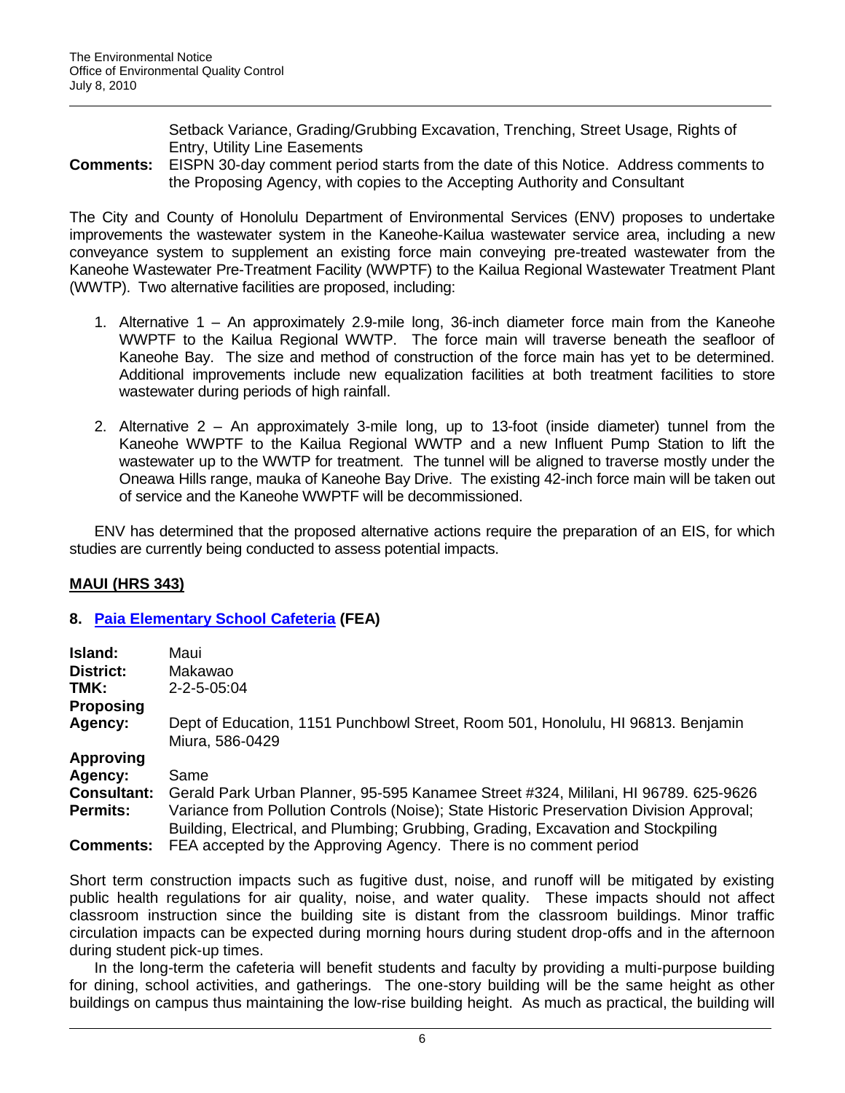Setback Variance, Grading/Grubbing Excavation, Trenching, Street Usage, Rights of Entry, Utility Line Easements

**Comments:** EISPN 30-day comment period starts from the date of this Notice. Address comments to the Proposing Agency, with copies to the Accepting Authority and Consultant

The City and County of Honolulu Department of Environmental Services (ENV) proposes to undertake improvements the wastewater system in the Kaneohe-Kailua wastewater service area, including a new conveyance system to supplement an existing force main conveying pre-treated wastewater from the Kaneohe Wastewater Pre-Treatment Facility (WWPTF) to the Kailua Regional Wastewater Treatment Plant (WWTP). Two alternative facilities are proposed, including:

- 1. Alternative 1 An approximately 2.9-mile long, 36-inch diameter force main from the Kaneohe WWPTF to the Kailua Regional WWTP. The force main will traverse beneath the seafloor of Kaneohe Bay. The size and method of construction of the force main has yet to be determined. Additional improvements include new equalization facilities at both treatment facilities to store wastewater during periods of high rainfall.
- 2. Alternative 2 An approximately 3-mile long, up to 13-foot (inside diameter) tunnel from the Kaneohe WWPTF to the Kailua Regional WWTP and a new Influent Pump Station to lift the wastewater up to the WWTP for treatment. The tunnel will be aligned to traverse mostly under the Oneawa Hills range, mauka of Kaneohe Bay Drive. The existing 42-inch force main will be taken out of service and the Kaneohe WWPTF will be decommissioned.

ENV has determined that the proposed alternative actions require the preparation of an EIS, for which studies are currently being conducted to assess potential impacts.

## **MAUI (HRS 343)**

## **8. [Paia Elementary School Cafeteria](http://oeqc.doh.hawaii.gov/Shared%20Documents/EA_and_EIS_Online_Library/Maui/2010s/2010-07-08-MA-FEA-Paia-Elem-School.pdf) (FEA)**

| Island:            | Maui                                                                                                                                                                          |
|--------------------|-------------------------------------------------------------------------------------------------------------------------------------------------------------------------------|
| District:          | Makawao                                                                                                                                                                       |
| TMK:               | $2 - 2 - 5 - 05:04$                                                                                                                                                           |
| <b>Proposing</b>   |                                                                                                                                                                               |
| Agency:            | Dept of Education, 1151 Punchbowl Street, Room 501, Honolulu, HI 96813. Benjamin<br>Miura, 586-0429                                                                           |
| <b>Approving</b>   |                                                                                                                                                                               |
| Agency:            | Same                                                                                                                                                                          |
| <b>Consultant:</b> | Gerald Park Urban Planner, 95-595 Kanamee Street #324, Mililani, HI 96789. 625-9626                                                                                           |
| <b>Permits:</b>    | Variance from Pollution Controls (Noise); State Historic Preservation Division Approval;<br>Building, Electrical, and Plumbing; Grubbing, Grading, Excavation and Stockpiling |
| <b>Comments:</b>   | FEA accepted by the Approving Agency. There is no comment period                                                                                                              |

Short term construction impacts such as fugitive dust, noise, and runoff will be mitigated by existing public health regulations for air quality, noise, and water quality. These impacts should not affect classroom instruction since the building site is distant from the classroom buildings. Minor traffic circulation impacts can be expected during morning hours during student drop-offs and in the afternoon during student pick-up times.

In the long-term the cafeteria will benefit students and faculty by providing a multi-purpose building for dining, school activities, and gatherings. The one-story building will be the same height as other buildings on campus thus maintaining the low-rise building height. As much as practical, the building will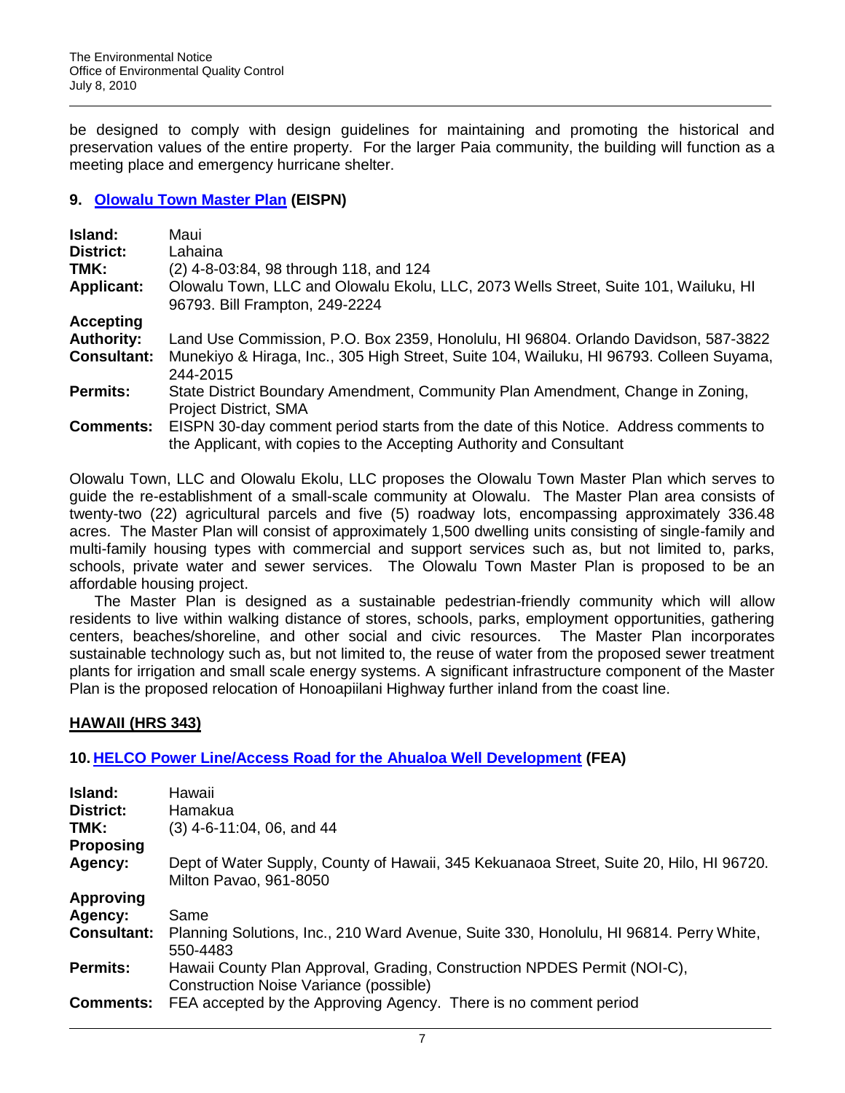be designed to comply with design guidelines for maintaining and promoting the historical and preservation values of the entire property. For the larger Paia community, the building will function as a meeting place and emergency hurricane shelter.

## **9. [Olowalu Town Master Plan](http://oeqc.doh.hawaii.gov/Shared%20Documents/EA_and_EIS_Online_Library/Maui/2010s/2010-07-08-MA-EISPN-Olowalu-Town-Master-Plan.pdf) (EISPN)**

| Island:            | Maui                                                                                                                                                         |
|--------------------|--------------------------------------------------------------------------------------------------------------------------------------------------------------|
| District:          | Lahaina                                                                                                                                                      |
| TMK:               | (2) 4-8-03:84, 98 through 118, and 124                                                                                                                       |
| <b>Applicant:</b>  | Olowalu Town, LLC and Olowalu Ekolu, LLC, 2073 Wells Street, Suite 101, Wailuku, HI<br>96793. Bill Frampton, 249-2224                                        |
| Accepting          |                                                                                                                                                              |
| <b>Authority:</b>  | Land Use Commission, P.O. Box 2359, Honolulu, HI 96804. Orlando Davidson, 587-3822                                                                           |
| <b>Consultant:</b> | Munekiyo & Hiraga, Inc., 305 High Street, Suite 104, Wailuku, HI 96793. Colleen Suyama,<br>244-2015                                                          |
| <b>Permits:</b>    | State District Boundary Amendment, Community Plan Amendment, Change in Zoning,<br><b>Project District, SMA</b>                                               |
| <b>Comments:</b>   | EISPN 30-day comment period starts from the date of this Notice. Address comments to<br>the Applicant, with copies to the Accepting Authority and Consultant |

Olowalu Town, LLC and Olowalu Ekolu, LLC proposes the Olowalu Town Master Plan which serves to guide the re-establishment of a small-scale community at Olowalu. The Master Plan area consists of twenty-two (22) agricultural parcels and five (5) roadway lots, encompassing approximately 336.48 acres. The Master Plan will consist of approximately 1,500 dwelling units consisting of single-family and multi-family housing types with commercial and support services such as, but not limited to, parks, schools, private water and sewer services. The Olowalu Town Master Plan is proposed to be an affordable housing project.

The Master Plan is designed as a sustainable pedestrian-friendly community which will allow residents to live within walking distance of stores, schools, parks, employment opportunities, gathering centers, beaches/shoreline, and other social and civic resources. The Master Plan incorporates sustainable technology such as, but not limited to, the reuse of water from the proposed sewer treatment plants for irrigation and small scale energy systems. A significant infrastructure component of the Master Plan is the proposed relocation of Honoapiilani Highway further inland from the coast line.

# **HAWAII (HRS 343)**

## **10. [HELCO Power Line/Access Road for the Ahualoa Well Development](http://oeqc.doh.hawaii.gov/Shared%20Documents/EA_and_EIS_Online_Library/Hawaii/2010s/2010-07-08-HA-FEA-Ahualoa-Well-Powerline-Road.pdf) (FEA)**

| Island:<br><b>District:</b> | Hawaii<br>Hamakua                                                                                                  |
|-----------------------------|--------------------------------------------------------------------------------------------------------------------|
| TMK:<br><b>Proposing</b>    | $(3)$ 4-6-11:04, 06, and 44                                                                                        |
| Agency:                     | Dept of Water Supply, County of Hawaii, 345 Kekuanaoa Street, Suite 20, Hilo, HI 96720.<br>Milton Pavao, 961-8050  |
| <b>Approving</b>            |                                                                                                                    |
| Agency:                     | Same                                                                                                               |
| <b>Consultant:</b>          | Planning Solutions, Inc., 210 Ward Avenue, Suite 330, Honolulu, HI 96814. Perry White,<br>550-4483                 |
| <b>Permits:</b>             | Hawaii County Plan Approval, Grading, Construction NPDES Permit (NOI-C),<br>Construction Noise Variance (possible) |
| <b>Comments:</b>            | FEA accepted by the Approving Agency. There is no comment period                                                   |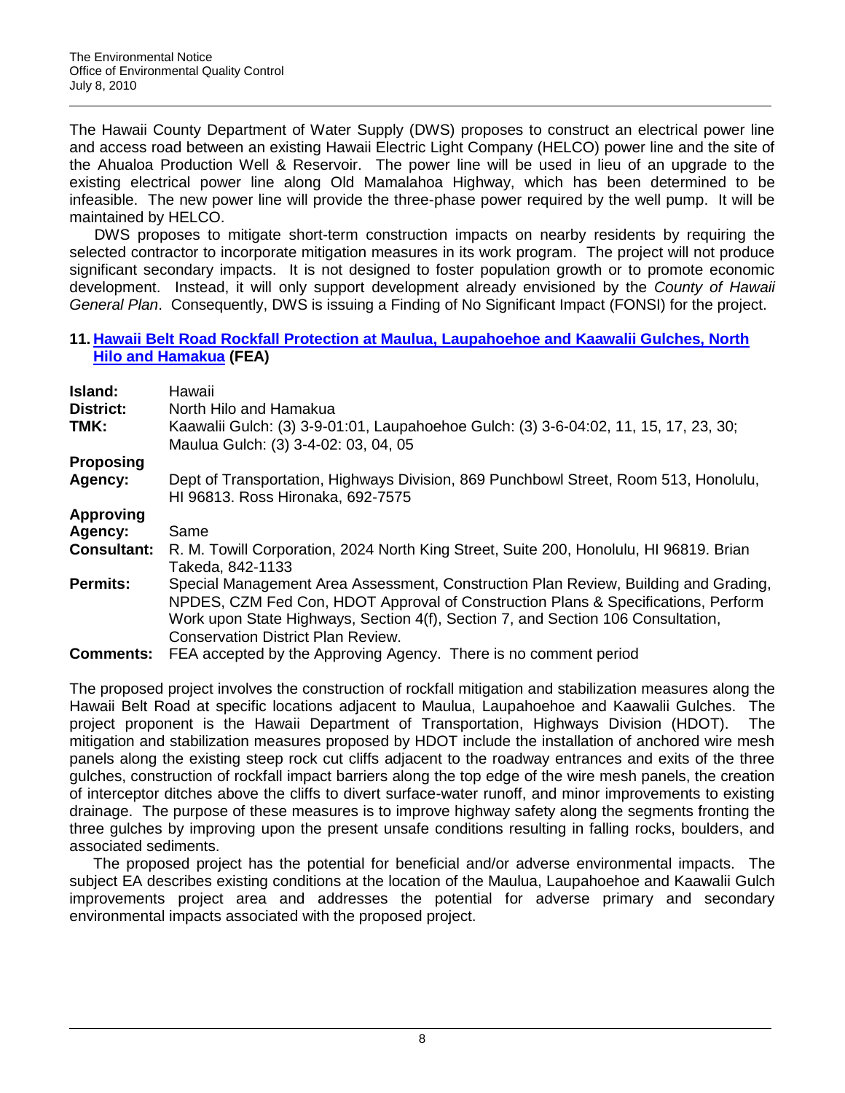The Hawaii County Department of Water Supply (DWS) proposes to construct an electrical power line and access road between an existing Hawaii Electric Light Company (HELCO) power line and the site of the Ahualoa Production Well & Reservoir. The power line will be used in lieu of an upgrade to the existing electrical power line along Old Mamalahoa Highway, which has been determined to be infeasible. The new power line will provide the three-phase power required by the well pump. It will be maintained by HELCO.

DWS proposes to mitigate short-term construction impacts on nearby residents by requiring the selected contractor to incorporate mitigation measures in its work program. The project will not produce significant secondary impacts. It is not designed to foster population growth or to promote economic development. Instead, it will only support development already envisioned by the *County of Hawaii General Plan*. Consequently, DWS is issuing a Finding of No Significant Impact (FONSI) for the project.

#### **11. [Hawaii Belt Road Rockfall Protection at Maulua, Laupahoehoe and Kaawalii Gulches, North](http://oeqc.doh.hawaii.gov/Shared%20Documents/EA_and_EIS_Online_Library/Hawaii/2010s/2010-07-08-HA-FEA-Hawaii-Belt-Road-Rockfall-Maulua.pdf)  [Hilo and Hamakua](http://oeqc.doh.hawaii.gov/Shared%20Documents/EA_and_EIS_Online_Library/Hawaii/2010s/2010-07-08-HA-FEA-Hawaii-Belt-Road-Rockfall-Maulua.pdf) (FEA)**

| Island:                  | Hawaii                                                                                                                                                                                                                                                                                                    |
|--------------------------|-----------------------------------------------------------------------------------------------------------------------------------------------------------------------------------------------------------------------------------------------------------------------------------------------------------|
| <b>District:</b><br>TMK: | North Hilo and Hamakua<br>Kaawalii Gulch: (3) 3-9-01:01, Laupahoehoe Gulch: (3) 3-6-04:02, 11, 15, 17, 23, 30;<br>Maulua Gulch: (3) 3-4-02: 03, 04, 05                                                                                                                                                    |
| <b>Proposing</b>         |                                                                                                                                                                                                                                                                                                           |
| Agency:                  | Dept of Transportation, Highways Division, 869 Punchbowl Street, Room 513, Honolulu,<br>HI 96813. Ross Hironaka, 692-7575                                                                                                                                                                                 |
| <b>Approving</b>         |                                                                                                                                                                                                                                                                                                           |
| Agency:                  | Same                                                                                                                                                                                                                                                                                                      |
| <b>Consultant:</b>       | R. M. Towill Corporation, 2024 North King Street, Suite 200, Honolulu, HI 96819. Brian<br>Takeda, 842-1133                                                                                                                                                                                                |
| <b>Permits:</b>          | Special Management Area Assessment, Construction Plan Review, Building and Grading,<br>NPDES, CZM Fed Con, HDOT Approval of Construction Plans & Specifications, Perform<br>Work upon State Highways, Section 4(f), Section 7, and Section 106 Consultation,<br><b>Conservation District Plan Review.</b> |
| <b>Comments:</b>         | FEA accepted by the Approving Agency. There is no comment period                                                                                                                                                                                                                                          |

The proposed project involves the construction of rockfall mitigation and stabilization measures along the Hawaii Belt Road at specific locations adjacent to Maulua, Laupahoehoe and Kaawalii Gulches. The project proponent is the Hawaii Department of Transportation, Highways Division (HDOT). The mitigation and stabilization measures proposed by HDOT include the installation of anchored wire mesh panels along the existing steep rock cut cliffs adjacent to the roadway entrances and exits of the three gulches, construction of rockfall impact barriers along the top edge of the wire mesh panels, the creation of interceptor ditches above the cliffs to divert surface-water runoff, and minor improvements to existing drainage. The purpose of these measures is to improve highway safety along the segments fronting the three gulches by improving upon the present unsafe conditions resulting in falling rocks, boulders, and associated sediments.

The proposed project has the potential for beneficial and/or adverse environmental impacts. The subject EA describes existing conditions at the location of the Maulua, Laupahoehoe and Kaawalii Gulch improvements project area and addresses the potential for adverse primary and secondary environmental impacts associated with the proposed project.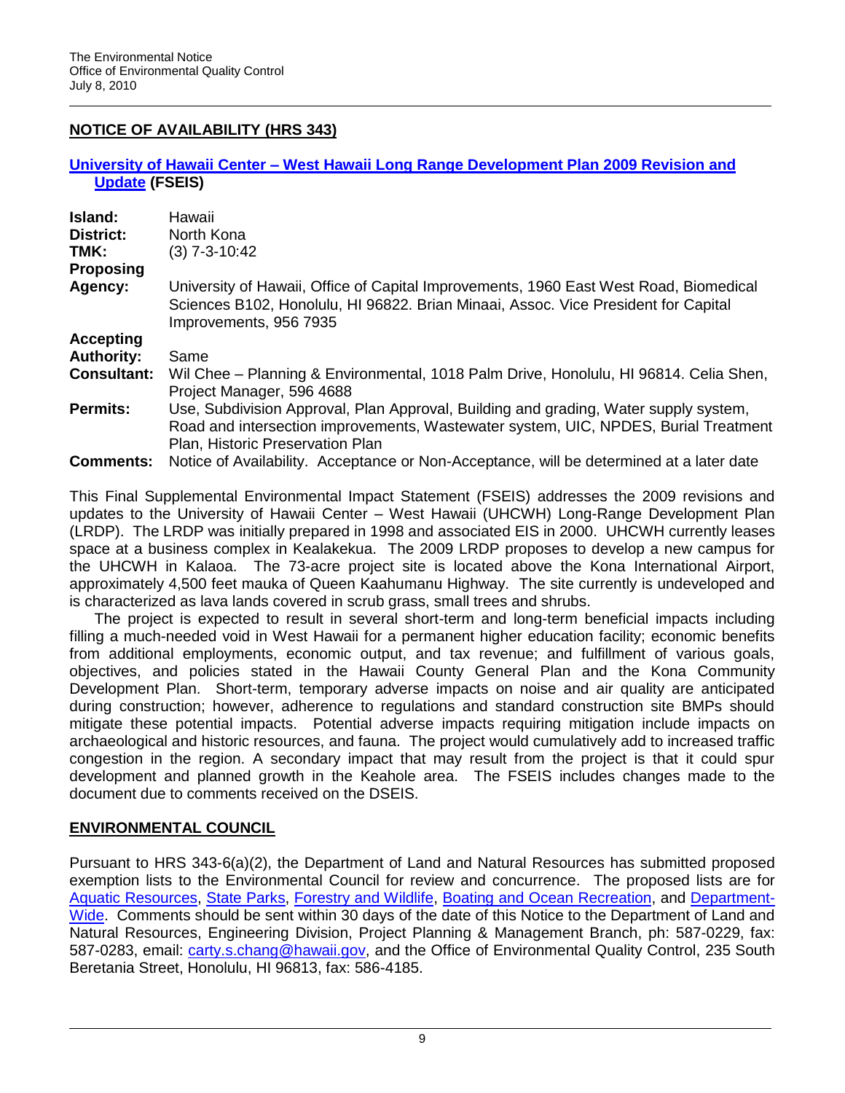# **NOTICE OF AVAILABILITY (HRS 343)**

### **University of Hawaii Center – [West Hawaii Long Range Development Plan 2009 Revision and](http://oeqc.doh.hawaii.gov/Shared%20Documents/EA_and_EIS_Online_Library/Hawaii/2010s/2010-07-08-HA-FSEIS-UH-West-Hawaii-Long-Range-Dev-Plan-2009-Update.pdf)  [Update](http://oeqc.doh.hawaii.gov/Shared%20Documents/EA_and_EIS_Online_Library/Hawaii/2010s/2010-07-08-HA-FSEIS-UH-West-Hawaii-Long-Range-Dev-Plan-2009-Update.pdf) (FSEIS)**

| Island:            | Hawaii                                                                                                                                                                                                          |
|--------------------|-----------------------------------------------------------------------------------------------------------------------------------------------------------------------------------------------------------------|
| <b>District:</b>   | North Kona                                                                                                                                                                                                      |
| TMK:               | $(3)$ 7-3-10:42                                                                                                                                                                                                 |
| <b>Proposing</b>   |                                                                                                                                                                                                                 |
| Agency:            | University of Hawaii, Office of Capital Improvements, 1960 East West Road, Biomedical<br>Sciences B102, Honolulu, HI 96822. Brian Minaai, Assoc. Vice President for Capital<br>Improvements, 956 7935           |
| <b>Accepting</b>   |                                                                                                                                                                                                                 |
| <b>Authority:</b>  | Same                                                                                                                                                                                                            |
| <b>Consultant:</b> | Wil Chee – Planning & Environmental, 1018 Palm Drive, Honolulu, HI 96814. Celia Shen,<br>Project Manager, 596 4688                                                                                              |
| <b>Permits:</b>    | Use, Subdivision Approval, Plan Approval, Building and grading, Water supply system,<br>Road and intersection improvements, Wastewater system, UIC, NPDES, Burial Treatment<br>Plan, Historic Preservation Plan |
| <b>Comments:</b>   | Notice of Availability. Acceptance or Non-Acceptance, will be determined at a later date                                                                                                                        |

This Final Supplemental Environmental Impact Statement (FSEIS) addresses the 2009 revisions and updates to the University of Hawaii Center – West Hawaii (UHCWH) Long-Range Development Plan (LRDP). The LRDP was initially prepared in 1998 and associated EIS in 2000. UHCWH currently leases space at a business complex in Kealakekua. The 2009 LRDP proposes to develop a new campus for the UHCWH in Kalaoa. The 73-acre project site is located above the Kona International Airport, approximately 4,500 feet mauka of Queen Kaahumanu Highway. The site currently is undeveloped and is characterized as lava lands covered in scrub grass, small trees and shrubs.

The project is expected to result in several short-term and long-term beneficial impacts including filling a much-needed void in West Hawaii for a permanent higher education facility; economic benefits from additional employments, economic output, and tax revenue; and fulfillment of various goals, objectives, and policies stated in the Hawaii County General Plan and the Kona Community Development Plan. Short-term, temporary adverse impacts on noise and air quality are anticipated during construction; however, adherence to regulations and standard construction site BMPs should mitigate these potential impacts. Potential adverse impacts requiring mitigation include impacts on archaeological and historic resources, and fauna. The project would cumulatively add to increased traffic congestion in the region. A secondary impact that may result from the project is that it could spur development and planned growth in the Keahole area. The FSEIS includes changes made to the document due to comments received on the DSEIS.

# **ENVIRONMENTAL COUNCIL**

Pursuant to HRS 343-6(a)(2), the Department of Land and Natural Resources has submitted proposed exemption lists to the Environmental Council for review and concurrence. The proposed lists are for [Aquatic Resources,](http://oeqc.doh.hawaii.gov/Shared%20Documents/Environmental_Council/Exemption_Lists_By_Department/State_Agencies/Dept-of-Land-and-Natural-Resources-Div-Aquatic-Resources-proposed-7.10.pdf) [State Parks,](http://oeqc.doh.hawaii.gov/Shared%20Documents/Environmental_Council/Exemption_Lists_By_Department/State_Agencies/Dept-of-Land-and-Natural-Resources-State-Parks-proposed-7.10.pdf) [Forestry and Wildlife,](http://oeqc.doh.hawaii.gov/Shared%20Documents/Environmental_Council/Exemption_Lists_By_Department/State_Agencies/Dept-of-Land-and-Natural-Resources-Div-Forestry-and-Wildlife-proposed-7.10.pdf) [Boating and Ocean](http://oeqc.doh.hawaii.gov/Shared%20Documents/Environmental_Council/Exemption_Lists_By_Department/State_Agencies/Dept-of-Land-and-Natural-Resources-Div-Boating-Ocean-Rec-proposed-7.10.pdf) Recreation, and [Department-](http://oeqc.doh.hawaii.gov/Shared%20Documents/Environmental_Council/Exemption_Lists_By_Department/State_Agencies/Dept-of-Land-and-Natural-Resources-Comprehensive-proposed-7.10.pdf)[Wide.](http://oeqc.doh.hawaii.gov/Shared%20Documents/Environmental_Council/Exemption_Lists_By_Department/State_Agencies/Dept-of-Land-and-Natural-Resources-Comprehensive-proposed-7.10.pdf) Comments should be sent within 30 days of the date of this Notice to the Department of Land and Natural Resources, Engineering Division, Project Planning & Management Branch, ph: 587-0229, fax: 587-0283, email: [carty.s.chang@hawaii.gov,](mailto:carty.s.chang@hawaii.gov) and the Office of Environmental Quality Control, 235 South Beretania Street, Honolulu, HI 96813, fax: 586-4185.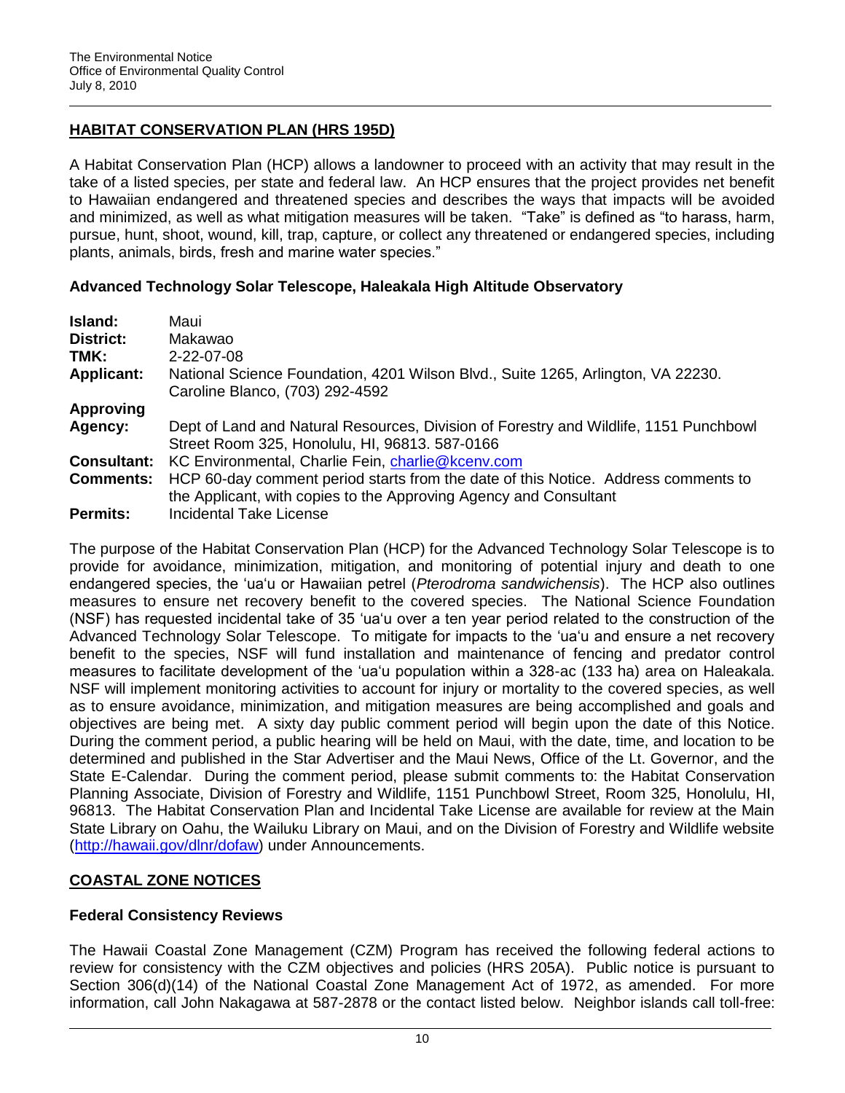# **HABITAT CONSERVATION PLAN (HRS 195D)**

A Habitat Conservation Plan (HCP) allows a landowner to proceed with an activity that may result in the take of a listed species, per state and federal law. An HCP ensures that the project provides net benefit to Hawaiian endangered and threatened species and describes the ways that impacts will be avoided and minimized, as well as what mitigation measures will be taken. "Take" is defined as "to harass, harm, pursue, hunt, shoot, wound, kill, trap, capture, or collect any threatened or endangered species, including plants, animals, birds, fresh and marine water species."

## **Advanced Technology Solar Telescope, Haleakala High Altitude Observatory**

| <b>Island:</b>     | Maui                                                                                  |
|--------------------|---------------------------------------------------------------------------------------|
| District:          | Makawao                                                                               |
| TMK:               | 2-22-07-08                                                                            |
| <b>Applicant:</b>  | National Science Foundation, 4201 Wilson Blvd., Suite 1265, Arlington, VA 22230.      |
|                    | Caroline Blanco, (703) 292-4592                                                       |
| <b>Approving</b>   |                                                                                       |
| Agency:            | Dept of Land and Natural Resources, Division of Forestry and Wildlife, 1151 Punchbowl |
|                    | Street Room 325, Honolulu, HI, 96813, 587-0166                                        |
| <b>Consultant:</b> | KC Environmental, Charlie Fein, charlie@kcenv.com                                     |
| <b>Comments:</b>   | HCP 60-day comment period starts from the date of this Notice. Address comments to    |
|                    | the Applicant, with copies to the Approving Agency and Consultant                     |
| <b>Permits:</b>    | <b>Incidental Take License</b>                                                        |

The purpose of the Habitat Conservation Plan (HCP) for the Advanced Technology Solar Telescope is to provide for avoidance, minimization, mitigation, and monitoring of potential injury and death to one endangered species, the "ua"u or Hawaiian petrel (*Pterodroma sandwichensis*). The HCP also outlines measures to ensure net recovery benefit to the covered species. The National Science Foundation (NSF) has requested incidental take of 35 "ua"u over a ten year period related to the construction of the Advanced Technology Solar Telescope. To mitigate for impacts to the "ua"u and ensure a net recovery benefit to the species, NSF will fund installation and maintenance of fencing and predator control measures to facilitate development of the "ua"u population within a 328-ac (133 ha) area on Haleakala. NSF will implement monitoring activities to account for injury or mortality to the covered species, as well as to ensure avoidance, minimization, and mitigation measures are being accomplished and goals and objectives are being met. A sixty day public comment period will begin upon the date of this Notice. During the comment period, a public hearing will be held on Maui, with the date, time, and location to be determined and published in the Star Advertiser and the Maui News, Office of the Lt. Governor, and the State E-Calendar. During the comment period, please submit comments to: the Habitat Conservation Planning Associate, Division of Forestry and Wildlife, 1151 Punchbowl Street, Room 325, Honolulu, HI, 96813. The Habitat Conservation Plan and Incidental Take License are available for review at the Main State Library on Oahu, the Wailuku Library on Maui, and on the Division of Forestry and Wildlife website [\(http://hawaii.gov/dlnr/dofaw\)](http://hawaii.gov/dlnr/dofaw) under Announcements.

# **COASTAL ZONE NOTICES**

# **Federal Consistency Reviews**

The Hawaii Coastal Zone Management (CZM) Program has received the following federal actions to review for consistency with the CZM objectives and policies (HRS 205A). Public notice is pursuant to Section 306(d)(14) of the National Coastal Zone Management Act of 1972, as amended. For more information, call John Nakagawa at 587-2878 or the contact listed below. Neighbor islands call toll-free: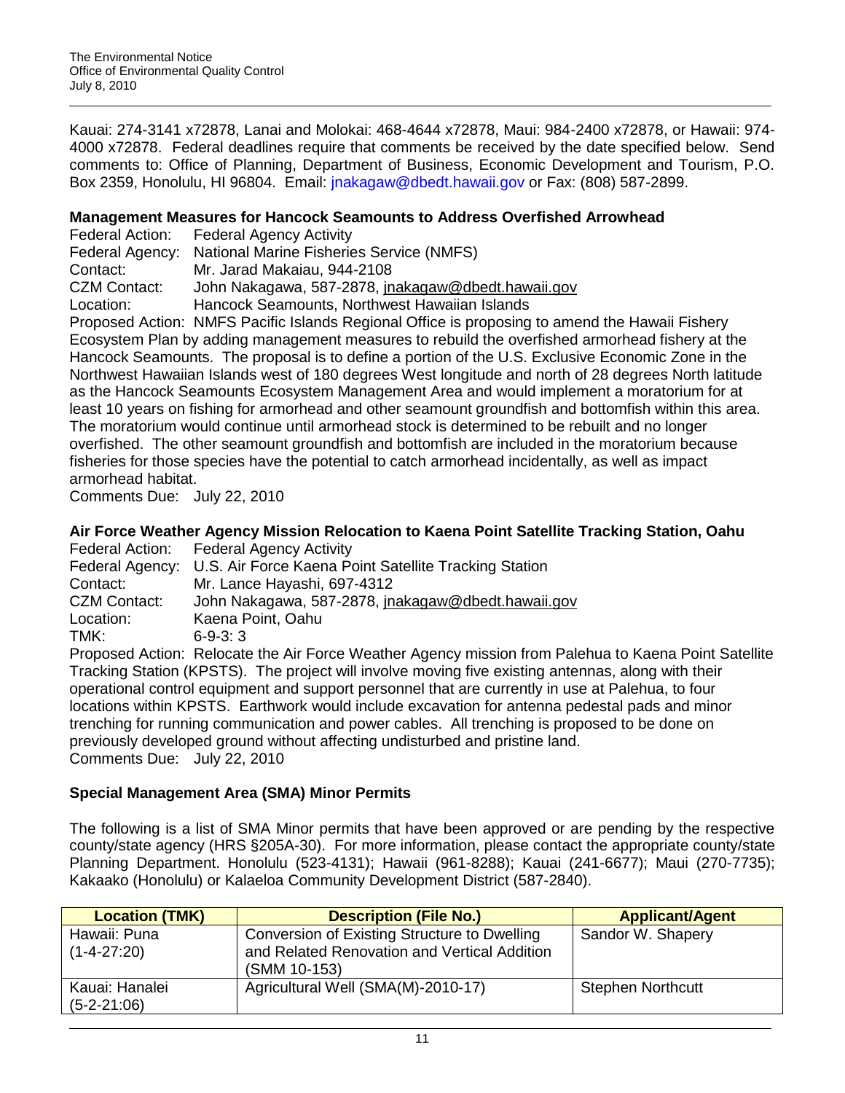Kauai: 274-3141 x72878, Lanai and Molokai: 468-4644 x72878, Maui: 984-2400 x72878, or Hawaii: 974- 4000 x72878. Federal deadlines require that comments be received by the date specified below. Send comments to: Office of Planning, Department of Business, Economic Development and Tourism, P.O. Box 2359, Honolulu, HI 96804. Email: [jnakagaw@dbedt.hawaii.gov](mailto:jnakagaw@dbedt.hawaii.gov) or Fax: (808) 587-2899.

### **Management Measures for Hancock Seamounts to Address Overfished Arrowhead**

|                     | Federal Action: Federal Agency Activity                                     |
|---------------------|-----------------------------------------------------------------------------|
|                     | Federal Agency: National Marine Fisheries Service (NMFS)                    |
| Contact:            | Mr. Jarad Makaiau, 944-2108                                                 |
| <b>CZM Contact:</b> | John Nakagawa, 587-2878, jnakagaw@dbedt.hawaii.gov                          |
| Location:           | Hancock Seamounts, Northwest Hawaiian Islands                               |
|                     | Drepseed Action, NIMEO Desitie Islande Designal Office is preparing to open |

Proposed Action: NMFS Pacific Islands Regional Office is proposing to amend the Hawaii Fishery Ecosystem Plan by adding management measures to rebuild the overfished armorhead fishery at the Hancock Seamounts. The proposal is to define a portion of the U.S. Exclusive Economic Zone in the Northwest Hawaiian Islands west of 180 degrees West longitude and north of 28 degrees North latitude as the Hancock Seamounts Ecosystem Management Area and would implement a moratorium for at least 10 years on fishing for armorhead and other seamount groundfish and bottomfish within this area. The moratorium would continue until armorhead stock is determined to be rebuilt and no longer overfished. The other seamount groundfish and bottomfish are included in the moratorium because fisheries for those species have the potential to catch armorhead incidentally, as well as impact armorhead habitat.

Comments Due: July 22, 2010

## **Air Force Weather Agency Mission Relocation to Kaena Point Satellite Tracking Station, Oahu**

|                     | Federal Action: Federal Agency Activity                                      |
|---------------------|------------------------------------------------------------------------------|
|                     | Federal Agency: U.S. Air Force Kaena Point Satellite Tracking Station        |
| Contact:            | Mr. Lance Hayashi, 697-4312                                                  |
| <b>CZM Contact:</b> | John Nakagawa, 587-2878, jnakagaw@dbedt.hawaii.gov                           |
| Location:           | Kaena Point, Oahu                                                            |
| TMK:                | $6-9-3:3$                                                                    |
|                     | Depressed Asticus: Delegate the Air Ferre Meether Agency rejected from Delah |

Proposed Action: Relocate the Air Force Weather Agency mission from Palehua to Kaena Point Satellite Tracking Station (KPSTS). The project will involve moving five existing antennas, along with their operational control equipment and support personnel that are currently in use at Palehua, to four locations within KPSTS. Earthwork would include excavation for antenna pedestal pads and minor trenching for running communication and power cables. All trenching is proposed to be done on previously developed ground without affecting undisturbed and pristine land. Comments Due: July 22, 2010

## **Special Management Area (SMA) Minor Permits**

The following is a list of SMA Minor permits that have been approved or are pending by the respective county/state agency (HRS §205A-30). For more information, please contact the appropriate county/state Planning Department. Honolulu (523-4131); Hawaii (961-8288); Kauai (241-6677); Maui (270-7735); Kakaako (Honolulu) or Kalaeloa Community Development District (587-2840).

| <b>Location (TMK)</b>             | <b>Description (File No.)</b>                                                                                | <b>Applicant/Agent</b>   |
|-----------------------------------|--------------------------------------------------------------------------------------------------------------|--------------------------|
| Hawaii: Puna<br>$(1 - 4 - 27:20)$ | Conversion of Existing Structure to Dwelling<br>and Related Renovation and Vertical Addition<br>(SMM 10-153) | Sandor W. Shapery        |
| Kauai: Hanalei<br>$(5-2-21:06)$   | Agricultural Well (SMA(M)-2010-17)                                                                           | <b>Stephen Northcutt</b> |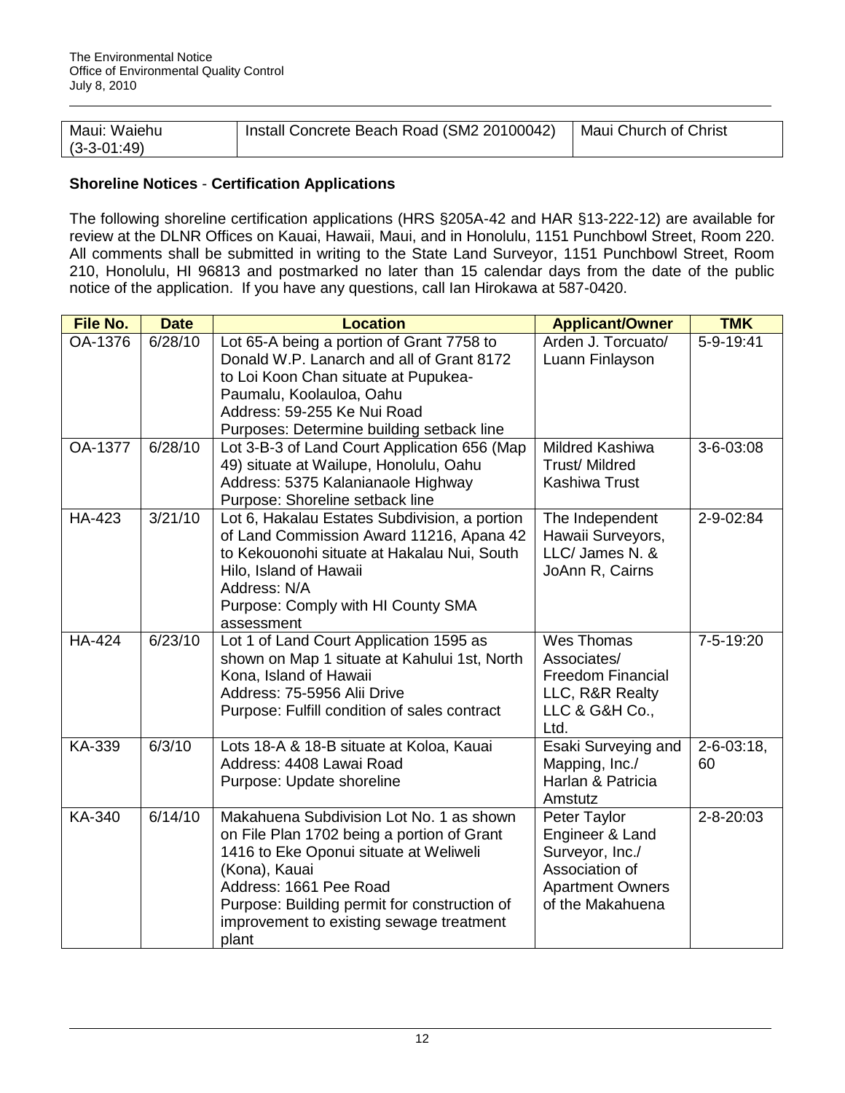| Maui: Waiehu  | Install Concrete Beach Road (SM2 20100042) | Maui Church of Christ |
|---------------|--------------------------------------------|-----------------------|
| $(3-3-01:49)$ |                                            |                       |

## **Shoreline Notices** - **Certification Applications**

The following shoreline certification applications (HRS §205A-42 and HAR §13-222-12) are available for review at the DLNR Offices on Kauai, Hawaii, Maui, and in Honolulu, 1151 Punchbowl Street, Room 220. All comments shall be submitted in writing to the State Land Surveyor, 1151 Punchbowl Street, Room 210, Honolulu, HI 96813 and postmarked no later than 15 calendar days from the date of the public notice of the application. If you have any questions, call Ian Hirokawa at 587-0420.

| <b>File No.</b> | <b>Date</b>      | <b>Location</b>                                                                                                                                                                                                                                                                  | <b>Applicant/Owner</b>                                                                                              | <b>TMK</b>              |
|-----------------|------------------|----------------------------------------------------------------------------------------------------------------------------------------------------------------------------------------------------------------------------------------------------------------------------------|---------------------------------------------------------------------------------------------------------------------|-------------------------|
| OA-1376         | $\sqrt{6/28/10}$ | Lot 65-A being a portion of Grant 7758 to<br>Donald W.P. Lanarch and all of Grant 8172<br>to Loi Koon Chan situate at Pupukea-<br>Paumalu, Koolauloa, Oahu<br>Address: 59-255 Ke Nui Road<br>Purposes: Determine building setback line                                           | Arden J. Torcuato/<br>Luann Finlayson                                                                               | 5-9-19:41               |
| <b>OA-1377</b>  | 6/28/10          | Lot 3-B-3 of Land Court Application 656 (Map<br>49) situate at Wailupe, Honolulu, Oahu<br>Address: 5375 Kalanianaole Highway<br>Purpose: Shoreline setback line                                                                                                                  | <b>Mildred Kashiwa</b><br><b>Trust/ Mildred</b><br><b>Kashiwa Trust</b>                                             | $3 - 6 - 03:08$         |
| <b>HA-423</b>   | 3/21/10          | Lot 6, Hakalau Estates Subdivision, a portion<br>of Land Commission Award 11216, Apana 42<br>to Kekouonohi situate at Hakalau Nui, South<br>Hilo, Island of Hawaii<br>Address: N/A<br>Purpose: Comply with HI County SMA<br>assessment                                           | The Independent<br>Hawaii Surveyors,<br>LLC/ James N. &<br>JoAnn R, Cairns                                          | 2-9-02:84               |
| <b>HA-424</b>   | 6/23/10          | Lot 1 of Land Court Application 1595 as<br>shown on Map 1 situate at Kahului 1st, North<br>Kona, Island of Hawaii<br>Address: 75-5956 Alii Drive<br>Purpose: Fulfill condition of sales contract                                                                                 | Wes Thomas<br>Associates/<br><b>Freedom Financial</b><br>LLC, R&R Realty<br>LLC & G&H Co.,<br>Ltd.                  | 7-5-19:20               |
| KA-339          | 6/3/10           | Lots 18-A & 18-B situate at Koloa, Kauai<br>Address: 4408 Lawai Road<br>Purpose: Update shoreline                                                                                                                                                                                | Esaki Surveying and<br>Mapping, Inc./<br>Harlan & Patricia<br>Amstutz                                               | $2 - 6 - 03:18$ ,<br>60 |
| KA-340          | 6/14/10          | Makahuena Subdivision Lot No. 1 as shown<br>on File Plan 1702 being a portion of Grant<br>1416 to Eke Oponui situate at Weliweli<br>(Kona), Kauai<br>Address: 1661 Pee Road<br>Purpose: Building permit for construction of<br>improvement to existing sewage treatment<br>plant | Peter Taylor<br>Engineer & Land<br>Surveyor, Inc./<br>Association of<br><b>Apartment Owners</b><br>of the Makahuena | $2 - 8 - 20:03$         |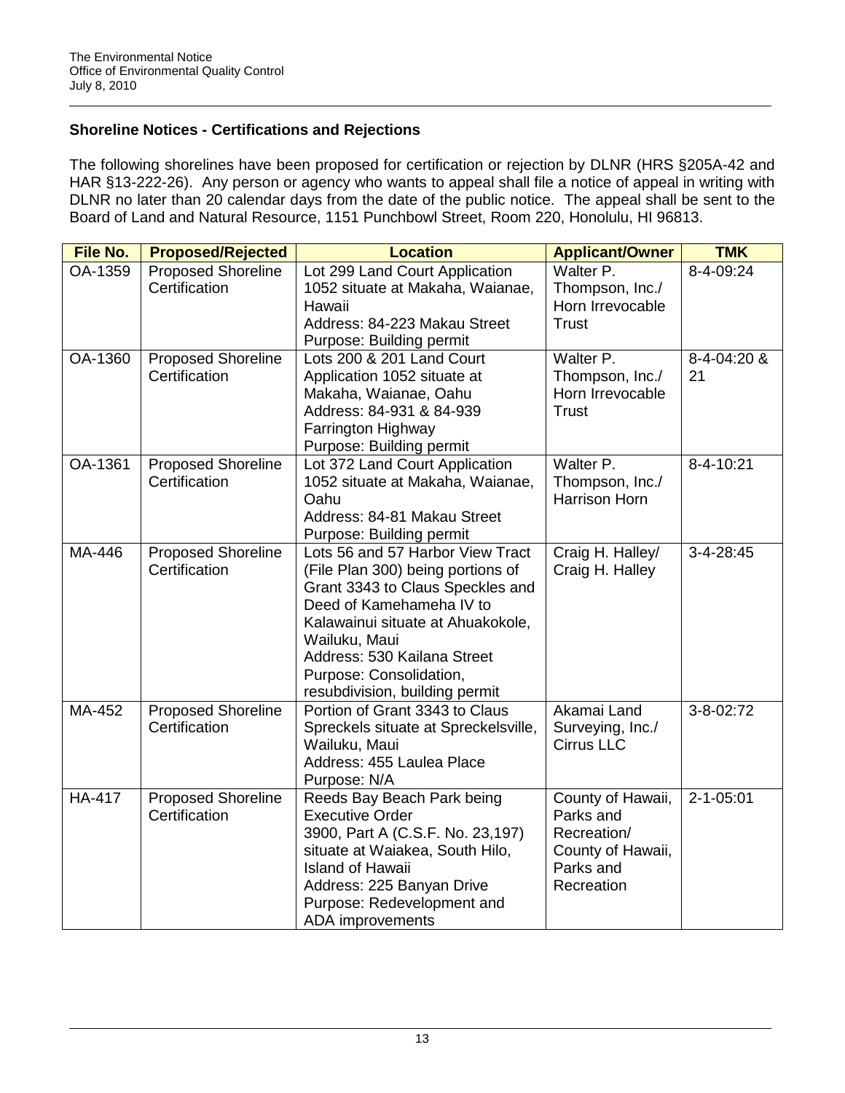## **Shoreline Notices - Certifications and Rejections**

The following shorelines have been proposed for certification or rejection by DLNR (HRS §205A-42 and HAR §13-222-26). Any person or agency who wants to appeal shall file a notice of appeal in writing with DLNR no later than 20 calendar days from the date of the public notice. The appeal shall be sent to the Board of Land and Natural Resource, 1151 Punchbowl Street, Room 220, Honolulu, HI 96813.

| File No.      | <b>Proposed/Rejected</b>                   | <b>Location</b><br><b>Applicant/Owner</b>                          |                   | <b>TMK</b>      |
|---------------|--------------------------------------------|--------------------------------------------------------------------|-------------------|-----------------|
| OA-1359       | <b>Proposed Shoreline</b>                  | Lot 299 Land Court Application                                     | Walter P.         | 8-4-09:24       |
|               | Certification                              | 1052 situate at Makaha, Waianae,                                   | Thompson, Inc./   |                 |
|               |                                            | Hawaii                                                             | Horn Irrevocable  |                 |
|               |                                            | Address: 84-223 Makau Street                                       | <b>Trust</b>      |                 |
|               |                                            | Purpose: Building permit                                           |                   |                 |
| OA-1360       | <b>Proposed Shoreline</b>                  | Lots 200 & 201 Land Court                                          | Walter P.         | 8-4-04:20 &     |
|               | Certification                              | Application 1052 situate at                                        | Thompson, Inc./   | 21              |
|               |                                            | Makaha, Waianae, Oahu                                              | Horn Irrevocable  |                 |
|               |                                            | Address: 84-931 & 84-939                                           | <b>Trust</b>      |                 |
|               |                                            | Farrington Highway                                                 |                   |                 |
| OA-1361       |                                            | Purpose: Building permit                                           | Walter P.         |                 |
|               | <b>Proposed Shoreline</b><br>Certification | Lot 372 Land Court Application<br>1052 situate at Makaha, Waianae, | Thompson, Inc./   | 8-4-10:21       |
|               |                                            | Oahu                                                               | Harrison Horn     |                 |
|               |                                            | Address: 84-81 Makau Street                                        |                   |                 |
|               |                                            | Purpose: Building permit                                           |                   |                 |
| MA-446        | <b>Proposed Shoreline</b>                  | Lots 56 and 57 Harbor View Tract                                   | Craig H. Halley/  | 3-4-28:45       |
|               | Certification                              | (File Plan 300) being portions of                                  | Craig H. Halley   |                 |
|               |                                            | Grant 3343 to Claus Speckles and                                   |                   |                 |
|               |                                            | Deed of Kamehameha IV to                                           |                   |                 |
|               |                                            | Kalawainui situate at Ahuakokole,                                  |                   |                 |
|               |                                            | Wailuku, Maui                                                      |                   |                 |
|               |                                            | Address: 530 Kailana Street                                        |                   |                 |
|               |                                            | Purpose: Consolidation,                                            |                   |                 |
|               |                                            | resubdivision, building permit                                     |                   |                 |
| MA-452        | <b>Proposed Shoreline</b>                  | Portion of Grant 3343 to Claus                                     | Akamai Land       | 3-8-02:72       |
|               | Certification                              | Spreckels situate at Spreckelsville,                               | Surveying, Inc./  |                 |
|               |                                            | Wailuku, Maui                                                      | <b>Cirrus LLC</b> |                 |
|               |                                            | Address: 455 Laulea Place                                          |                   |                 |
|               |                                            | Purpose: N/A                                                       |                   |                 |
| <b>HA-417</b> | <b>Proposed Shoreline</b>                  | Reeds Bay Beach Park being                                         | County of Hawaii, | $2 - 1 - 05:01$ |
|               | Certification                              | <b>Executive Order</b>                                             | Parks and         |                 |
|               |                                            | 3900, Part A (C.S.F. No. 23,197)                                   | Recreation/       |                 |
|               |                                            | situate at Waiakea, South Hilo,                                    | County of Hawaii, |                 |
|               |                                            | <b>Island of Hawaii</b>                                            | Parks and         |                 |
|               |                                            | Address: 225 Banyan Drive                                          | Recreation        |                 |
|               |                                            | Purpose: Redevelopment and                                         |                   |                 |
|               |                                            | ADA improvements                                                   |                   |                 |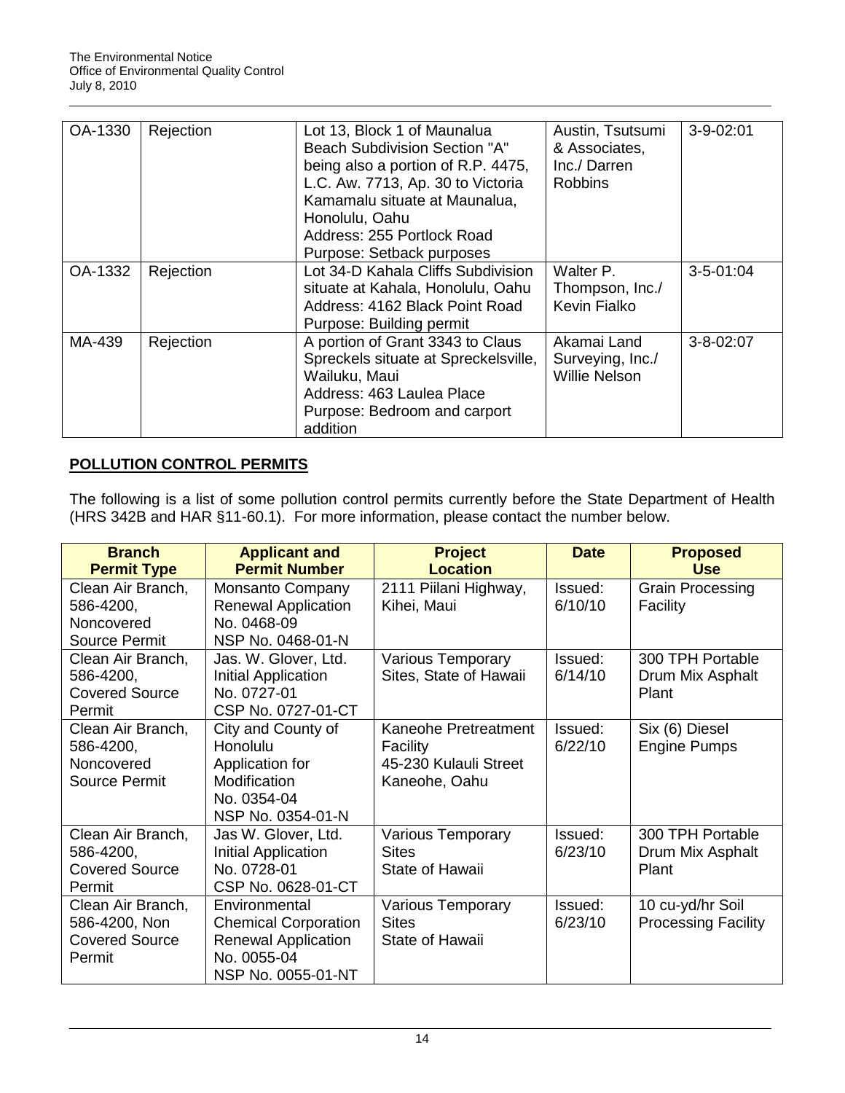| OA-1330 | Rejection | Lot 13, Block 1 of Maunalua<br><b>Beach Subdivision Section "A"</b><br>being also a portion of R.P. 4475,<br>L.C. Aw. 7713, Ap. 30 to Victoria<br>Kamamalu situate at Maunalua,<br>Honolulu, Oahu<br>Address: 255 Portlock Road<br>Purpose: Setback purposes | Austin, Tsutsumi<br>& Associates,<br>Inc./ Darren<br><b>Robbins</b> | $3-9-02:01$     |
|---------|-----------|--------------------------------------------------------------------------------------------------------------------------------------------------------------------------------------------------------------------------------------------------------------|---------------------------------------------------------------------|-----------------|
| OA-1332 | Rejection | Lot 34-D Kahala Cliffs Subdivision                                                                                                                                                                                                                           | Walter P.                                                           | $3 - 5 - 01:04$ |
|         |           | situate at Kahala, Honolulu, Oahu                                                                                                                                                                                                                            | Thompson, Inc./                                                     |                 |
|         |           | Address: 4162 Black Point Road                                                                                                                                                                                                                               | Kevin Fialko                                                        |                 |
|         |           | Purpose: Building permit                                                                                                                                                                                                                                     |                                                                     |                 |
| MA-439  | Rejection | A portion of Grant 3343 to Claus                                                                                                                                                                                                                             | Akamai Land                                                         | $3 - 8 - 02:07$ |
|         |           | Spreckels situate at Spreckelsville,                                                                                                                                                                                                                         | Surveying, Inc./                                                    |                 |
|         |           | Wailuku, Maui                                                                                                                                                                                                                                                | <b>Willie Nelson</b>                                                |                 |
|         |           | Address: 463 Laulea Place                                                                                                                                                                                                                                    |                                                                     |                 |
|         |           | Purpose: Bedroom and carport                                                                                                                                                                                                                                 |                                                                     |                 |
|         |           | addition                                                                                                                                                                                                                                                     |                                                                     |                 |

## **POLLUTION CONTROL PERMITS**

The following is a list of some pollution control permits currently before the State Department of Health (HRS 342B and HAR §11-60.1). For more information, please contact the number below.

| <b>Branch</b>         | <b>Applicant and</b>        | <b>Project</b>           | <b>Date</b> | <b>Proposed</b>            |
|-----------------------|-----------------------------|--------------------------|-------------|----------------------------|
| <b>Permit Type</b>    | <b>Permit Number</b>        | <b>Location</b>          |             | <b>Use</b>                 |
| Clean Air Branch,     | Monsanto Company            | 2111 Piilani Highway,    | Issued:     | <b>Grain Processing</b>    |
| 586-4200,             | <b>Renewal Application</b>  | Kihei, Maui              | 6/10/10     | Facility                   |
| Noncovered            | No. 0468-09                 |                          |             |                            |
| <b>Source Permit</b>  | NSP No. 0468-01-N           |                          |             |                            |
| Clean Air Branch,     | Jas. W. Glover, Ltd.        | Various Temporary        | Issued:     | 300 TPH Portable           |
| 586-4200,             | Initial Application         | Sites, State of Hawaii   | 6/14/10     | Drum Mix Asphalt           |
| <b>Covered Source</b> | No. 0727-01                 |                          |             | Plant                      |
| Permit                | CSP No. 0727-01-CT          |                          |             |                            |
| Clean Air Branch,     | City and County of          | Kaneohe Pretreatment     | Issued:     | Six (6) Diesel             |
| 586-4200,             | Honolulu                    | Facility                 | 6/22/10     | <b>Engine Pumps</b>        |
| Noncovered            | Application for             | 45-230 Kulauli Street    |             |                            |
| Source Permit         | Modification                | Kaneohe, Oahu            |             |                            |
|                       | No. 0354-04                 |                          |             |                            |
|                       | NSP No. 0354-01-N           |                          |             |                            |
| Clean Air Branch,     | Jas W. Glover, Ltd.         | Various Temporary        | Issued:     | 300 TPH Portable           |
| 586-4200,             | Initial Application         | <b>Sites</b>             | 6/23/10     | Drum Mix Asphalt           |
| <b>Covered Source</b> | No. 0728-01                 | State of Hawaii          |             | Plant                      |
| Permit                | CSP No. 0628-01-CT          |                          |             |                            |
| Clean Air Branch,     | Environmental               | <b>Various Temporary</b> | Issued:     | 10 cu-yd/hr Soil           |
| 586-4200, Non         | <b>Chemical Corporation</b> | <b>Sites</b>             | 6/23/10     | <b>Processing Facility</b> |
| <b>Covered Source</b> | <b>Renewal Application</b>  | State of Hawaii          |             |                            |
| Permit                | No. 0055-04                 |                          |             |                            |
|                       | NSP No. 0055-01-NT          |                          |             |                            |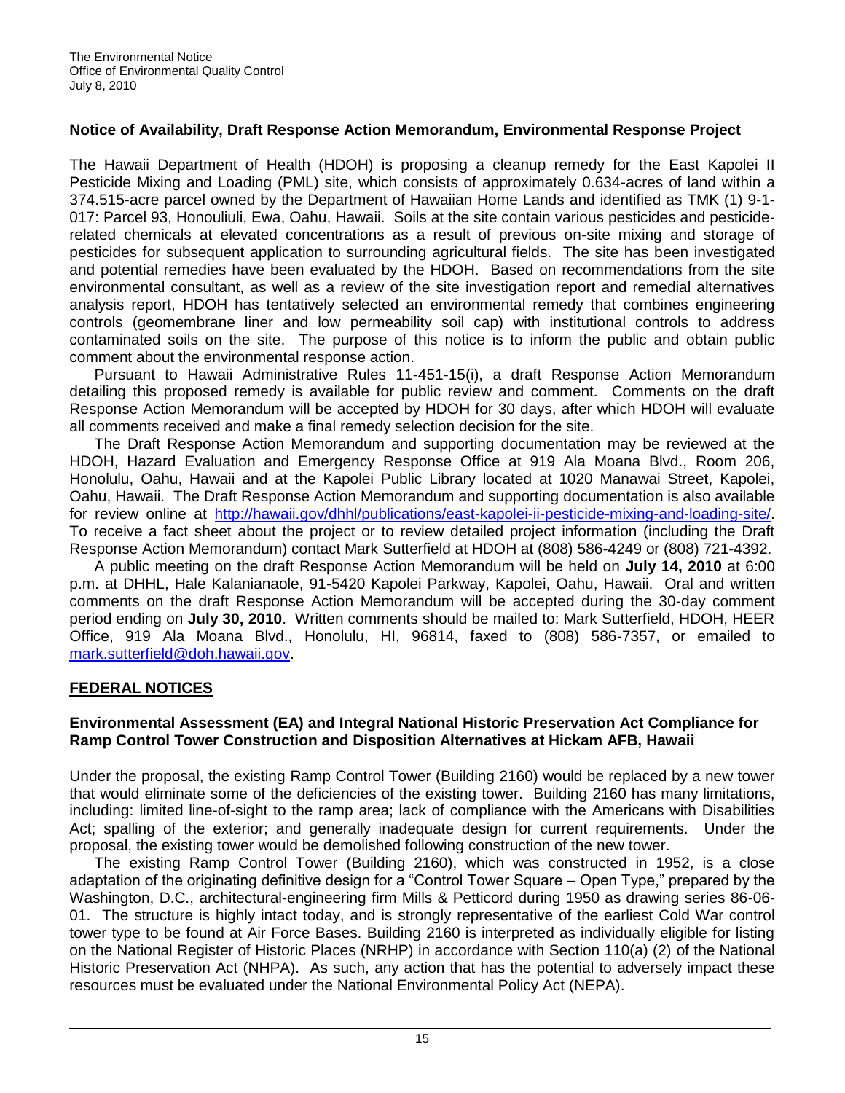## **Notice of Availability, Draft Response Action Memorandum, Environmental Response Project**

The Hawaii Department of Health (HDOH) is proposing a cleanup remedy for the East Kapolei II Pesticide Mixing and Loading (PML) site, which consists of approximately 0.634-acres of land within a 374.515-acre parcel owned by the Department of Hawaiian Home Lands and identified as TMK (1) 9-1- 017: Parcel 93, Honouliuli, Ewa, Oahu, Hawaii. Soils at the site contain various pesticides and pesticiderelated chemicals at elevated concentrations as a result of previous on-site mixing and storage of pesticides for subsequent application to surrounding agricultural fields. The site has been investigated and potential remedies have been evaluated by the HDOH. Based on recommendations from the site environmental consultant, as well as a review of the site investigation report and remedial alternatives analysis report, HDOH has tentatively selected an environmental remedy that combines engineering controls (geomembrane liner and low permeability soil cap) with institutional controls to address contaminated soils on the site. The purpose of this notice is to inform the public and obtain public comment about the environmental response action.

Pursuant to Hawaii Administrative Rules 11-451-15(i), a draft Response Action Memorandum detailing this proposed remedy is available for public review and comment. Comments on the draft Response Action Memorandum will be accepted by HDOH for 30 days, after which HDOH will evaluate all comments received and make a final remedy selection decision for the site.

The Draft Response Action Memorandum and supporting documentation may be reviewed at the HDOH, Hazard Evaluation and Emergency Response Office at 919 Ala Moana Blvd., Room 206, Honolulu, Oahu, Hawaii and at the Kapolei Public Library located at 1020 Manawai Street, Kapolei, Oahu, Hawaii. The Draft Response Action Memorandum and supporting documentation is also available for review online at [http://hawaii.gov/dhhl/publications/east-kapolei-ii-pesticide-mixing-and-loading-site/.](http://hawaii.gov/dhhl/publications/east-kapolei-ii-pesticide-mixing-and-loading-site/) To receive a fact sheet about the project or to review detailed project information (including the Draft Response Action Memorandum) contact Mark Sutterfield at HDOH at (808) 586-4249 or (808) 721-4392.

A public meeting on the draft Response Action Memorandum will be held on **July 14, 2010** at 6:00 p.m. at DHHL, Hale Kalanianaole, 91-5420 Kapolei Parkway, Kapolei, Oahu, Hawaii. Oral and written comments on the draft Response Action Memorandum will be accepted during the 30-day comment period ending on **July 30, 2010**. Written comments should be mailed to: Mark Sutterfield, HDOH, HEER Office, 919 Ala Moana Blvd., Honolulu, HI, 96814, faxed to (808) 586-7357, or emailed to [mark.sutterfield@doh.hawaii.gov.](mailto:mark.sutterfield@doh.hawaii.gov)

## **FEDERAL NOTICES**

## **Environmental Assessment (EA) and Integral National Historic Preservation Act Compliance for Ramp Control Tower Construction and Disposition Alternatives at Hickam AFB, Hawaii**

Under the proposal, the existing Ramp Control Tower (Building 2160) would be replaced by a new tower that would eliminate some of the deficiencies of the existing tower. Building 2160 has many limitations, including: limited line-of-sight to the ramp area; lack of compliance with the Americans with Disabilities Act; spalling of the exterior; and generally inadequate design for current requirements. Under the proposal, the existing tower would be demolished following construction of the new tower.

The existing Ramp Control Tower (Building 2160), which was constructed in 1952, is a close adaptation of the originating definitive design for a "Control Tower Square – Open Type," prepared by the Washington, D.C., architectural-engineering firm Mills & Petticord during 1950 as drawing series 86-06- 01. The structure is highly intact today, and is strongly representative of the earliest Cold War control tower type to be found at Air Force Bases. Building 2160 is interpreted as individually eligible for listing on the National Register of Historic Places (NRHP) in accordance with Section 110(a) (2) of the National Historic Preservation Act (NHPA). As such, any action that has the potential to adversely impact these resources must be evaluated under the National Environmental Policy Act (NEPA).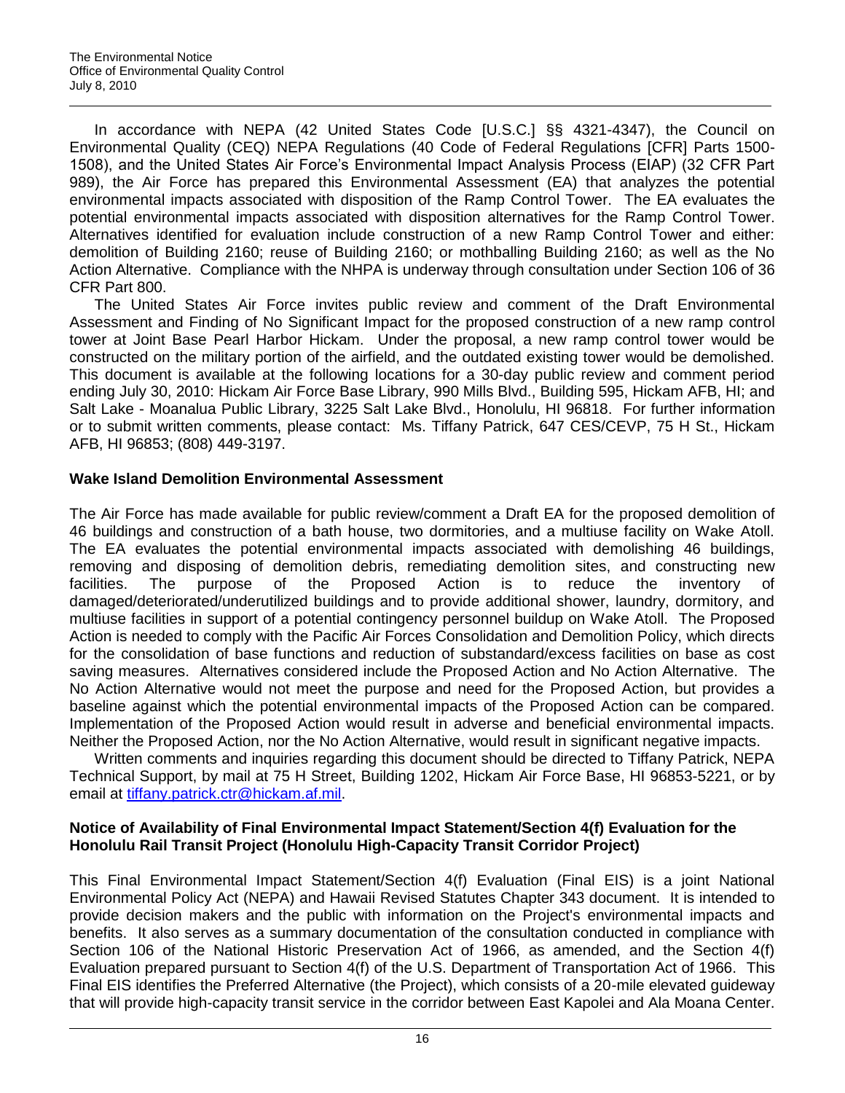In accordance with NEPA (42 United States Code [U.S.C.] §§ 4321-4347), the Council on Environmental Quality (CEQ) NEPA Regulations (40 Code of Federal Regulations [CFR] Parts 1500- 1508), and the United States Air Force"s Environmental Impact Analysis Process (EIAP) (32 CFR Part 989), the Air Force has prepared this Environmental Assessment (EA) that analyzes the potential environmental impacts associated with disposition of the Ramp Control Tower. The EA evaluates the potential environmental impacts associated with disposition alternatives for the Ramp Control Tower. Alternatives identified for evaluation include construction of a new Ramp Control Tower and either: demolition of Building 2160; reuse of Building 2160; or mothballing Building 2160; as well as the No Action Alternative. Compliance with the NHPA is underway through consultation under Section 106 of 36 CFR Part 800.

The United States Air Force invites public review and comment of the Draft Environmental Assessment and Finding of No Significant Impact for the proposed construction of a new ramp control tower at Joint Base Pearl Harbor Hickam. Under the proposal, a new ramp control tower would be constructed on the military portion of the airfield, and the outdated existing tower would be demolished. This document is available at the following locations for a 30-day public review and comment period ending July 30, 2010: Hickam Air Force Base Library, 990 Mills Blvd., Building 595, Hickam AFB, HI; and Salt Lake - Moanalua Public Library, 3225 Salt Lake Blvd., Honolulu, HI 96818. For further information or to submit written comments, please contact: Ms. Tiffany Patrick, 647 CES/CEVP, 75 H St., Hickam AFB, HI 96853; (808) 449-3197.

## **Wake Island Demolition Environmental Assessment**

The Air Force has made available for public review/comment a Draft EA for the proposed demolition of 46 buildings and construction of a bath house, two dormitories, and a multiuse facility on Wake Atoll. The EA evaluates the potential environmental impacts associated with demolishing 46 buildings, removing and disposing of demolition debris, remediating demolition sites, and constructing new facilities. The purpose of the Proposed Action is to reduce the inventory of damaged/deteriorated/underutilized buildings and to provide additional shower, laundry, dormitory, and multiuse facilities in support of a potential contingency personnel buildup on Wake Atoll. The Proposed Action is needed to comply with the Pacific Air Forces Consolidation and Demolition Policy, which directs for the consolidation of base functions and reduction of substandard/excess facilities on base as cost saving measures. Alternatives considered include the Proposed Action and No Action Alternative. The No Action Alternative would not meet the purpose and need for the Proposed Action, but provides a baseline against which the potential environmental impacts of the Proposed Action can be compared. Implementation of the Proposed Action would result in adverse and beneficial environmental impacts. Neither the Proposed Action, nor the No Action Alternative, would result in significant negative impacts.

Written comments and inquiries regarding this document should be directed to Tiffany Patrick, NEPA Technical Support, by mail at 75 H Street, Building 1202, Hickam Air Force Base, HI 96853-5221, or by email at [tiffany.patrick.ctr@hickam.af.mil.](mailto:tiffany.patrick.ctr@hickam.af.mil)

## **Notice of Availability of Final Environmental Impact Statement/Section 4(f) Evaluation for the Honolulu Rail Transit Project (Honolulu High-Capacity Transit Corridor Project)**

This Final Environmental Impact Statement/Section 4(f) Evaluation (Final EIS) is a joint National Environmental Policy Act (NEPA) and Hawaii Revised Statutes Chapter 343 document. It is intended to provide decision makers and the public with information on the Project's environmental impacts and benefits. It also serves as a summary documentation of the consultation conducted in compliance with Section 106 of the National Historic Preservation Act of 1966, as amended, and the Section 4(f) Evaluation prepared pursuant to Section 4(f) of the U.S. Department of Transportation Act of 1966. This Final EIS identifies the Preferred Alternative (the Project), which consists of a 20-mile elevated guideway that will provide high-capacity transit service in the corridor between East Kapolei and Ala Moana Center.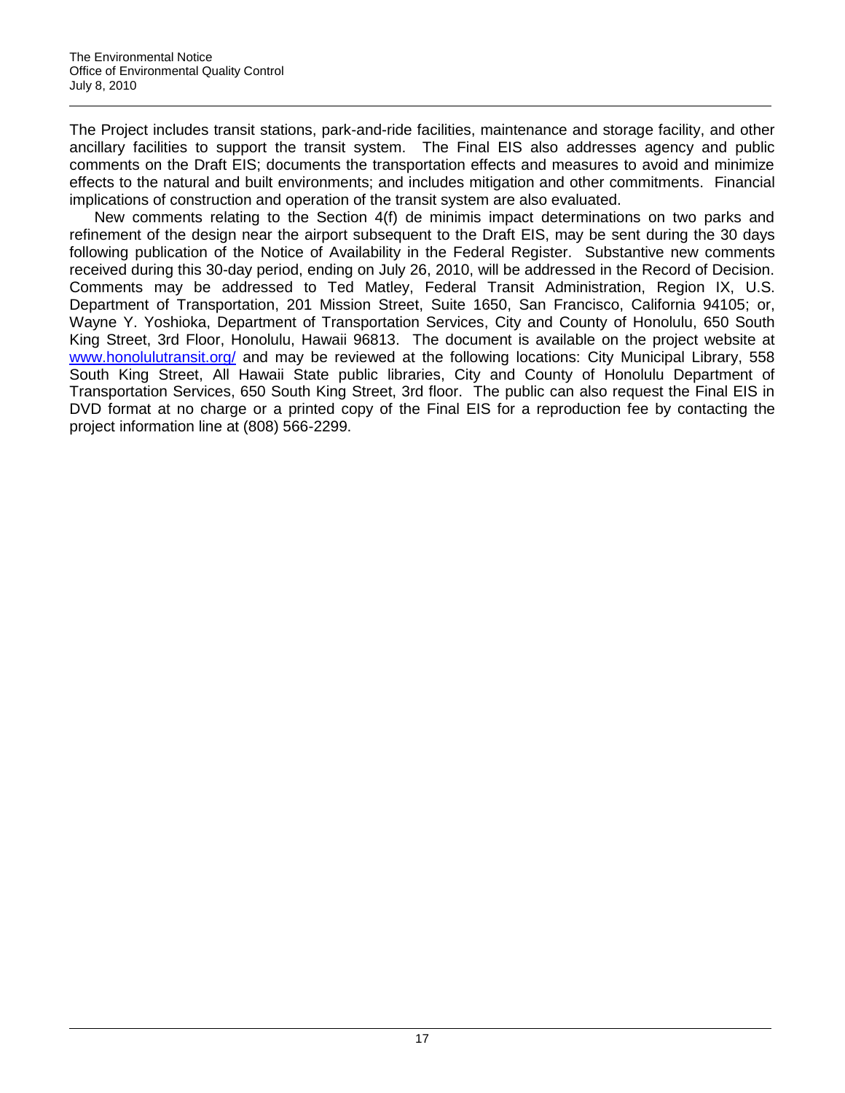The Project includes transit stations, park-and-ride facilities, maintenance and storage facility, and other ancillary facilities to support the transit system. The Final EIS also addresses agency and public comments on the Draft EIS; documents the transportation effects and measures to avoid and minimize effects to the natural and built environments; and includes mitigation and other commitments. Financial implications of construction and operation of the transit system are also evaluated.

New comments relating to the Section 4(f) de minimis impact determinations on two parks and refinement of the design near the airport subsequent to the Draft EIS, may be sent during the 30 days following publication of the Notice of Availability in the Federal Register. Substantive new comments received during this 30-day period, ending on July 26, 2010, will be addressed in the Record of Decision. Comments may be addressed to Ted Matley, Federal Transit Administration, Region IX, U.S. Department of Transportation, 201 Mission Street, Suite 1650, San Francisco, California 94105; or, Wayne Y. Yoshioka, Department of Transportation Services, City and County of Honolulu, 650 South King Street, 3rd Floor, Honolulu, Hawaii 96813. The document is available on the project website at [www.honolulutransit.org/](http://www.honolulutransit.org/) and may be reviewed at the following locations: City Municipal Library, 558 South King Street, All Hawaii State public libraries, City and County of Honolulu Department of Transportation Services, 650 South King Street, 3rd floor. The public can also request the Final EIS in DVD format at no charge or a printed copy of the Final EIS for a reproduction fee by contacting the project information line at (808) 566-2299.